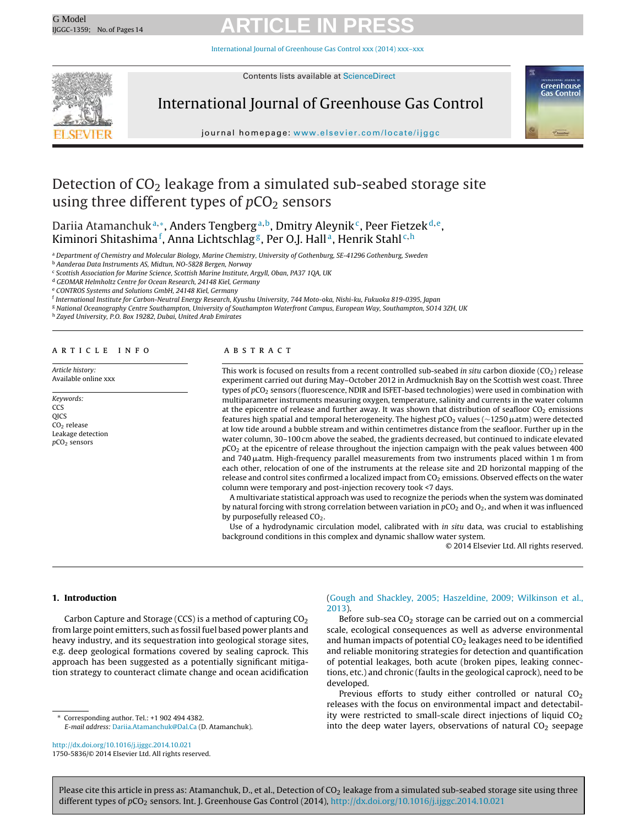[International](dx.doi.org/10.1016/j.ijggc.2014.10.021) Journal of Greenhouse Gas Control xxx (2014) xxx–xxx



Contents lists available at [ScienceDirect](http://www.sciencedirect.com/science/journal/17505836)

### International Journal of Greenhouse Gas Control



journal homepage: [www.elsevier.com/locate/ijggc](http://www.elsevier.com/locate/ijggc)

### Detection of  $CO<sub>2</sub>$  leakage from a simulated sub-seabed storage site using three different types of  $pCO<sub>2</sub>$  sensors

Dariia Atamanchuk<sup>a,∗</sup>, Anders Tengberg<sup>a,b</sup>, Dmitry Aleynik<sup>c</sup>, Peer Fietzek<sup>d,e</sup>, Kiminori Shitashima<sup>f</sup>, Anna Lichtschlag<sup>g</sup>, Per O.J. Hall<u>a, Henrik Stahla.h</u>

a Department of Chemistry and Molecular Biology, Marine Chemistry, University of Gothenburg, SE-41296 Gothenburg, Sweden

<sup>b</sup> Aanderaa Data Instruments AS, Midtun, NO-5828 Bergen, Norway

<sup>c</sup> Scottish Association for Marine Science, Scottish Marine Institute, Argyll, Oban, PA37 1QA, UK

<sup>d</sup> GEOMAR Helmholtz Centre for Ocean Research, 24148 Kiel, Germany

<sup>e</sup> CONTROS Systems and Solutions GmbH, 24148 Kiel, Germany

<sup>f</sup> International Institute for Carbon-Neutral Energy Research, Kyushu University, 744 Moto-oka, Nishi-ku, Fukuoka 819-0395, Japan

<sup>g</sup> National Oceanography Centre Southampton, University of Southampton Waterfront Campus, European Way, Southampton, SO14 3ZH, UK

<sup>h</sup> Zayed University, P.O. Box 19282, Dubai, United Arab Emirates

#### a r t i c l e i n f o

Article history: Available online xxx

Keywords: **CCS OICS** CO2 release Leakage detection  $pCO<sub>2</sub>$  sensors

#### A B S T R A C T

This work is focused on results from a recent controlled sub-seabed in situ carbon dioxide ( $CO<sub>2</sub>$ ) release experiment carried out during May–October 2012 in Ardmucknish Bay on the Scottish west coast. Three types of  $pCO<sub>2</sub>$  sensors (fluorescence, NDIR and ISFET-based technologies) were used in combination with multiparameter instruments measuring oxygen, temperature, salinity and currents in the water column at the epicentre of release and further away. It was shown that distribution of seafloor CO<sub>2</sub> emissions features high spatial and temporal heterogeneity. The highest  $p$ CO<sub>2</sub> values (∼1250  $\mu$ atm) were detected at low tide around a bubble stream and within centimetres distance from the seafloor. Further up in the water column, 30–100 cm above the seabed, the gradients decreased, but continued to indicate elevated  $pCO<sub>2</sub>$  at the epicentre of release throughout the injection campaign with the peak values between 400 and 740  $\mu$ atm. High-frequency parallel measurements from two instruments placed within 1 m from each other, relocation of one of the instruments at the release site and 2D horizontal mapping of the release and control sites confirmed a localized impact from CO<sub>2</sub> emissions. Observed effects on the water column were temporary and post-injection recovery took <7 days.

A multivariate statistical approach was used to recognize the periods when the system was dominated by natural forcing with strong correlation between variation in  $pCO<sub>2</sub>$  and  $O<sub>2</sub>$ , and when it was influenced by purposefully released CO<sub>2</sub>.

Use of a hydrodynamic circulation model, calibrated with in situ data, was crucial to establishing background conditions in this complex and dynamic shallow water system.

© 2014 Elsevier Ltd. All rights reserved.

### **1. Introduction**

Carbon Capture and Storage (CCS) is a method of capturing  $CO<sub>2</sub>$ from large point emitters, such as fossil fuel based power plants and heavy industry, and its sequestration into geological storage sites, e.g. deep geological formations covered by sealing caprock. This approach has been suggested as a potentially significant mitigation strategy to counteract climate change and ocean acidification

∗ Corresponding author. Tel.: +1 902 494 4382. E-mail address: [Dariia.Atamanchuk@Dal.Ca](mailto:Dariia.Atamanchuk@Dal.Ca) (D. Atamanchuk).

[http://dx.doi.org/10.1016/j.ijggc.2014.10.021](dx.doi.org/10.1016/j.ijggc.2014.10.021) 1750-5836/© 2014 Elsevier Ltd. All rights reserved.

### [\(Gough](#page-12-0) [and](#page-12-0) [Shackley,](#page-12-0) [2005;](#page-12-0) [Haszeldine,](#page-12-0) [2009;](#page-12-0) [Wilkinson](#page-12-0) et [al.,](#page-12-0) [2013\).](#page-12-0)

Before sub-sea  $CO<sub>2</sub>$  storage can be carried out on a commercial scale, ecological consequences as well as adverse environmental and human impacts of potential  $CO<sub>2</sub>$  leakages need to be identified and reliable monitoring strategies for detection and quantification of potential leakages, both acute (broken pipes, leaking connections, etc.) and chronic (faults in the geological caprock), need to be developed.

Previous efforts to study either controlled or natural  $CO<sub>2</sub>$ releases with the focus on environmental impact and detectability were restricted to small-scale direct injections of liquid  $CO<sub>2</sub>$ into the deep water layers, observations of natural  $CO<sub>2</sub>$  seepage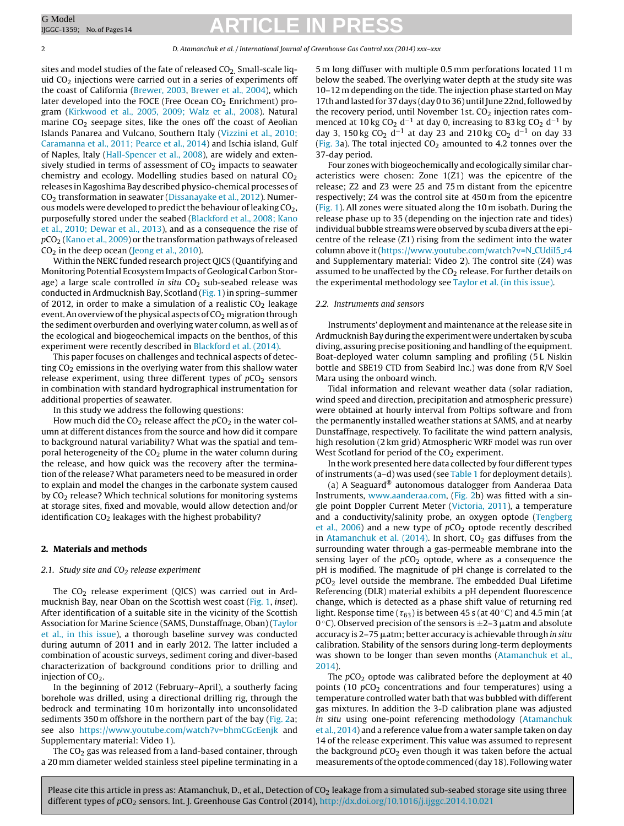#### 2 D. Atamanchuk et al. / International Journal of Greenhouse Gas Control xxx (2014) xxx–xxx

sites and model studies of the fate of released  $CO<sub>2</sub>$ . Small-scale liquid  $CO<sub>2</sub>$  injections were carried out in a series of experiments off the coast of California ([Brewer,](#page-12-0) [2003,](#page-12-0) [Brewer](#page-12-0) et [al.,](#page-12-0) [2004\),](#page-12-0) which later developed into the FOCE (Free Ocean  $CO<sub>2</sub>$  Enrichment) program ([Kirkwood](#page-12-0) et [al.,](#page-12-0) [2005,](#page-12-0) [2009;](#page-12-0) [Walz](#page-12-0) et [al.,](#page-12-0) [2008\).](#page-12-0) Natural marine  $CO<sub>2</sub>$  seepage sites, like the ones off the coast of Aeolian Islands Panarea and Vulcano, Southern Italy [\(Vizzini](#page-13-0) et [al.,](#page-13-0) [2010;](#page-13-0) [Caramanna](#page-13-0) et [al.,](#page-13-0) [2011;](#page-13-0) [Pearce](#page-13-0) et [al.,](#page-13-0) [2014\)](#page-13-0) and Ischia island, Gulf of Naples, Italy ([Hall-Spencer](#page-12-0) et [al.,](#page-12-0) [2008\),](#page-12-0) are widely and extensively studied in terms of assessment of  $CO<sub>2</sub>$  impacts to seawater chemistry and ecology. Modelling studies based on natural  $CO<sub>2</sub>$ releases inKagoshima Bay described physico-chemical processes of CO2 transformation in seawater ([Dissanayake](#page-12-0) et [al.,](#page-12-0) [2012\).](#page-12-0) Numerous models were developed to predict the behaviour of leaking  $CO<sub>2</sub>$ , purposefully stored under the seabed [\(Blackford](#page-12-0) et [al.,](#page-12-0) [2008;](#page-12-0) [Kano](#page-12-0) et [al.,](#page-12-0) [2010;](#page-12-0) [Dewar](#page-12-0) et [al.,](#page-12-0) [2013\),](#page-12-0) and as a consequence the rise of  $pCO<sub>2</sub>$  [\(Kano](#page-12-0) et [al.,](#page-12-0) [2009\)](#page-12-0) or the transformation pathways of released  $CO<sub>2</sub>$  in the deep ocean [\(Jeong](#page-12-0) et [al.,](#page-12-0) [2010\).](#page-12-0)

Within the NERC funded research project QICS (Quantifying and Monitoring Potential Ecosystem Impacts of Geological Carbon Storage) a large scale controlled in situ  $CO<sub>2</sub>$  sub-seabed release was conducted in Ardmucknish Bay, Scotland ([Fig.](#page-2-0) 1) in spring–summer of 2012, in order to make a simulation of a realistic  $CO<sub>2</sub>$  leakage event. An overview of the physical aspects of  $CO<sub>2</sub>$  migration through the sediment overburden and overlying water column, as well as of the ecological and biogeochemical impacts on the benthos, of this experiment were recently described in [Blackford](#page-12-0) et [al.](#page-12-0) [\(2014\).](#page-12-0)

This paper focuses on challenges and technical aspects of detecting  $CO<sub>2</sub>$  emissions in the overlying water from this shallow water release experiment, using three different types of  $pCO<sub>2</sub>$  sensors in combination with standard hydrographical instrumentation for additional properties of seawater.

In this study we address the following questions:

How much did the  $CO<sub>2</sub>$  release affect the  $pCO<sub>2</sub>$  in the water column at different distances from the source and how did it compare to background natural variability? What was the spatial and temporal heterogeneity of the  $CO<sub>2</sub>$  plume in the water column during the release, and how quick was the recovery after the termination of the release? What parameters need to be measured in order to explain and model the changes in the carbonate system caused by CO<sub>2</sub> release? Which technical solutions for monitoring systems at storage sites, fixed and movable, would allow detection and/or identification  $CO<sub>2</sub>$  leakages with the highest probability?

#### **2. Materials and methods**

### 2.1. Study site and  $CO<sub>2</sub>$  release experiment

The  $CO<sub>2</sub>$  release experiment (QICS) was carried out in Ardmucknish Bay, near Oban on the Scottish west coast ([Fig.](#page-2-0) 1, inset). After identification of a suitable site in the vicinity of the Scottish Association for Marine Science (SAMS, Dunstaffnage, Oban) [\(Taylor](#page-13-0) et [al.,](#page-13-0) [in](#page-13-0) [this](#page-13-0) [issue\),](#page-13-0) a thorough baseline survey was conducted during autumn of 2011 and in early 2012. The latter included a combination of acoustic surveys, sediment coring and diver-based characterization of background conditions prior to drilling and injection of  $CO<sub>2</sub>$ .

In the beginning of 2012 (February–April), a southerly facing borehole was drilled, using a directional drilling rig, through the bedrock and terminating 10 m horizontally into unconsolidated sediments 350 m offshore in the northern part of the bay ([Fig.](#page-3-0) 2a; see also <https://www.youtube.com/watch?v=bhmCGcEenjk> and Supplementary material: Video 1).

The  $CO<sub>2</sub>$  gas was released from a land-based container, through a 20 mm diameter welded stainless steel pipeline terminating in a 5 m long diffuser with multiple 0.5 mm perforations located 11 m below the seabed. The overlying water depth at the study site was 10–12 m depending on the tide. The injection phase started on May 17th and lasted for 37 days (day 0 to 36) until June 22nd, followed by the recovery period, until November 1st.  $CO<sub>2</sub>$  injection rates commenced at 10 kg CO<sub>2</sub> d<sup>-1</sup> at day 0, increasing to 83 kg CO<sub>2</sub> d<sup>-1</sup> by day 3, 150 kg CO<sub>2</sub> d<sup>-1</sup> at day 23 and 210 kg CO<sub>2</sub> d<sup>-1</sup> on day 33 [\(Fig.](#page-6-0) 3a). The total injected  $CO<sub>2</sub>$  amounted to 4.2 tonnes over the 37-day period.

Four zones with biogeochemically and ecologically similar characteristics were chosen: Zone 1(Z1) was the epicentre of the release; Z2 and Z3 were 25 and 75 m distant from the epicentre respectively; Z4 was the control site at 450 m from the epicentre [\(Fig.](#page-2-0) 1). All zones were situated along the 10 m isobath. During the release phase up to 35 (depending on the injection rate and tides) individual bubble streams were observed by scuba divers at the epicentre of the release (Z1) rising from the sediment into the water column above it ([https://www.youtube.com/watch?v=N](https://www.youtube.com/watch?v=N_CUdiI5_r4)\_CUdiI5\_r4 and Supplementary material: Video 2). The control site (Z4) was assumed to be unaffected by the  $CO<sub>2</sub>$  release. For further details on the experimental methodology see [Taylor](#page-13-0) et [al.](#page-13-0) [\(in](#page-13-0) [this](#page-13-0) [issue\).](#page-13-0)

#### 2.2. Instruments and sensors

Instruments' deployment and maintenance at the release site in Ardmucknish Bay during the experiment were undertaken by scuba diving, assuring precise positioning and handling of the equipment. Boat-deployed water column sampling and profiling (5 L Niskin bottle and SBE19 CTD from Seabird Inc.) was done from R/V Soel Mara using the onboard winch.

Tidal information and relevant weather data (solar radiation, wind speed and direction, precipitation and atmospheric pressure) were obtained at hourly interval from Poltips software and from the permanently installed weather stations at SAMS, and at nearby Dunstaffnage, respectively. To facilitate the wind pattern analysis, high resolution (2 km grid) Atmospheric WRF model was run over West Scotland for period of the  $CO<sub>2</sub>$  experiment.

In the work presented here data collected by four different types of instruments (a–d) was used (see [Table](#page-2-0) 1 for deployment details).

(a) A Seaguard® autonomous datalogger from Aanderaa Data Instruments, [www.aanderaa.com](http://www.aanderaa.com/), [\(Fig.](#page-3-0) 2b) was fitted with a single point Doppler Current Meter [\(Victoria,](#page-13-0) [2011\),](#page-13-0) a temperature and a conductivity/salinity probe, an oxygen optode [\(Tengberg](#page-13-0) et [al.,](#page-13-0)  $2006$ ) and a new type of  $pCO<sub>2</sub>$  optode recently described in [Atamanchuk](#page-12-0) et [al.](#page-12-0)  $(2014)$ . In short,  $CO<sub>2</sub>$  gas diffuses from the surrounding water through a gas-permeable membrane into the sensing layer of the  $pCO<sub>2</sub>$  optode, where as a consequence the pH is modified. The magnitude of pH change is correlated to the  $pCO<sub>2</sub>$  level outside the membrane. The embedded Dual Lifetime Referencing (DLR) material exhibits a pH dependent fluorescence change, which is detected as a phase shift value of returning red light. Response time ( $\tau_{63}$ ) is between 45 s (at 40 °C) and 4.5 min (at 0 °C). Observed precision of the sensors is  $\pm$ 2–3  $\mu$ atm and absolute accuracy is 2–75 µatm; better accuracy is achievable through *in situ* calibration. Stability of the sensors during long-term deployments was shown to be longer than seven months [\(Atamanchuk](#page-12-0) et [al.,](#page-12-0) [2014\).](#page-12-0)

The  $pCO<sub>2</sub>$  optode was calibrated before the deployment at 40 points (10  $pCO<sub>2</sub>$  concentrations and four temperatures) using a temperature controlled water bath that was bubbled with different gas mixtures. In addition the 3-D calibration plane was adjusted in situ using one-point referencing methodology ([Atamanchuk](#page-12-0) et [al.,](#page-12-0) [2014\)](#page-12-0) and a reference value from a water sample taken on day 14 of the release experiment. This value was assumed to represent the background  $pCO<sub>2</sub>$  even though it was taken before the actual measurements ofthe optode commenced (day 18). Following water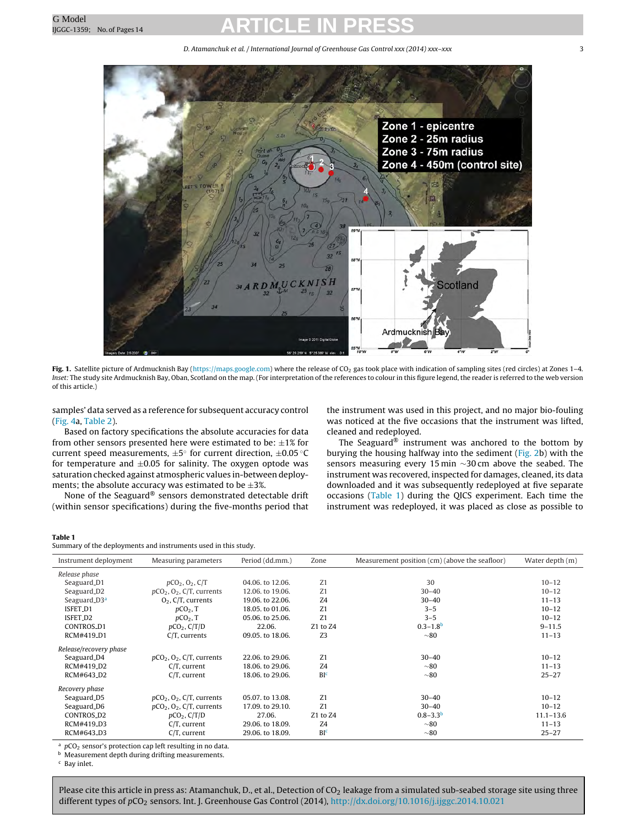D. Atamanchuk et al. / International Journal of Greenhouse Gas Control xxx (2014) xxx-xxx 3 3

<span id="page-2-0"></span>

Fig. 1. Satellite picture of Ardmucknish Bay ([https://maps.google.com](https://maps.google.com/)) where the release of CO<sub>2</sub> gas took place with indication of sampling sites (red circles) at Zones 1-4. Inset: The study site Ardmucknish Bay, Oban, Scotland on the map. (For interpretation of the references to colour in this figure legend, the reader is referred to the web version of this article.)

samples' data served as a reference for subsequent accuracy control ([Fig.](#page-7-0) 4a, [Table](#page-4-0) 2).

Based on factory specifications the absolute accuracies for data from other sensors presented here were estimated to be:  $\pm 1\%$  for current speed measurements,  $\pm 5^{\circ}$  for current direction,  $\pm 0.05^{\circ}$ C for temperature and  $\pm 0.05$  for salinity. The oxygen optode was saturation checked against atmospheric values in-between deployments; the absolute accuracy was estimated to be  $\pm 3\%$ .

None of the Seaguard® sensors demonstrated detectable drift (within sensor specifications) during the five-months period that

the instrument was used in this project, and no major bio-fouling was noticed at the five occasions that the instrument was lifted, cleaned and redeployed.

The Seaguard<sup>®</sup> instrument was anchored to the bottom by burying the housing halfway into the sediment ([Fig.](#page-3-0) 2b) with the sensors measuring every 15 min ∼30 cm above the seabed. The instrument was recovered, inspected for damages, cleaned, its data downloaded and it was subsequently redeployed at five separate occasions (Table 1) during the QICS experiment. Each time the instrument was redeployed, it was placed as close as possible to

#### **Table 1**

Summary of the deployments and instruments used in this study.

| Instrument deployment    | Measuring parameters                    | Period (dd.mm.)  | Zone            | Measurement position (cm) (above the seafloor) | Water depth (m) |
|--------------------------|-----------------------------------------|------------------|-----------------|------------------------------------------------|-----------------|
| Release phase            |                                         |                  |                 |                                                |                 |
| Seaguard <sub>-D1</sub>  | $pCO_2$ , $O_2$ , $C/T$                 | 04.06. to 12.06. | Z1              | 30                                             | $10 - 12$       |
| Seaguard_D2              | $pCO2, O2, C/T$ , currents              | 12.06. to 19.06. | Z1              | $30 - 40$                                      | $10 - 12$       |
| Seaguard_D3 <sup>a</sup> | $O2$ , C/T, currents                    | 19.06. to 22.06. | Z4              | $30 - 40$                                      | $11 - 13$       |
| ISFET_D1                 | $pCO2$ , T                              | 18.05. to 01.06. | Z1              | $3 - 5$                                        | $10 - 12$       |
| ISFET_D2                 | $pCO2$ , T                              | 05.06. to 25.06. | Z1              | $3 - 5$                                        | $10 - 12$       |
| CONTROS_D1               | $pCO2$ , $C/T/D$                        | 22.06.           | Z1 to Z4        | $0.3 - 1.8b$                                   | $9 - 11.5$      |
| RCM#419 <sub>-</sub> D1  | $C/T$ , currents                        | 09.05. to 18.06. | Z <sub>3</sub>  | ~80                                            | $11 - 13$       |
| Release/recovery phase   |                                         |                  |                 |                                                |                 |
| Seaguard <sub>-D4</sub>  | $pCO2$ , O <sub>2</sub> , C/T, currents | 22.06. to 29.06. | Z1              | $30 - 40$                                      | $10 - 12$       |
| RCM#419 <sub>-</sub> D2  | $C/T$ , current                         | 18.06. to 29.06. | Z4              | ~10                                            | $11 - 13$       |
| RCM#643_D2               | $C/T$ , current                         | 18.06. to 29.06. | BI <sup>c</sup> | ~10                                            | $25 - 27$       |
| Recovery phase           |                                         |                  |                 |                                                |                 |
| Seaguard <sub>-D5</sub>  | $pCO2, O2, C/T$ , currents              | 05.07. to 13.08. | Z1              | $30 - 40$                                      | $10 - 12$       |
| Seaguard <sub>-D6</sub>  | $pCO2, O2, C/T$ , currents              | 17.09. to 29.10. | Z1              | $30 - 40$                                      | $10 - 12$       |
| CONTROS_D2               | $pCO2$ , C/T/D                          | 27.06.           | Z1 to Z4        | $0.8 - 3.3b$                                   | $11.1 - 13.6$   |
| RCM#419_D3               | $C/T$ , current                         | 29.06. to 18.09. | Z4              | ~10                                            | $11 - 13$       |
| RCM#643 <sub>-</sub> D3  | $C/T$ , current                         | 29.06. to 18.09. | BI <sup>c</sup> | $~10^{-8}$                                     | $25 - 27$       |

<sup>a</sup>  $pCO<sub>2</sub>$  sensor's protection cap left resulting in no data.<br><sup>b</sup> Measurement depth during drifting measurements

Measurement depth during drifting measurements.

<sup>c</sup> Bay inlet.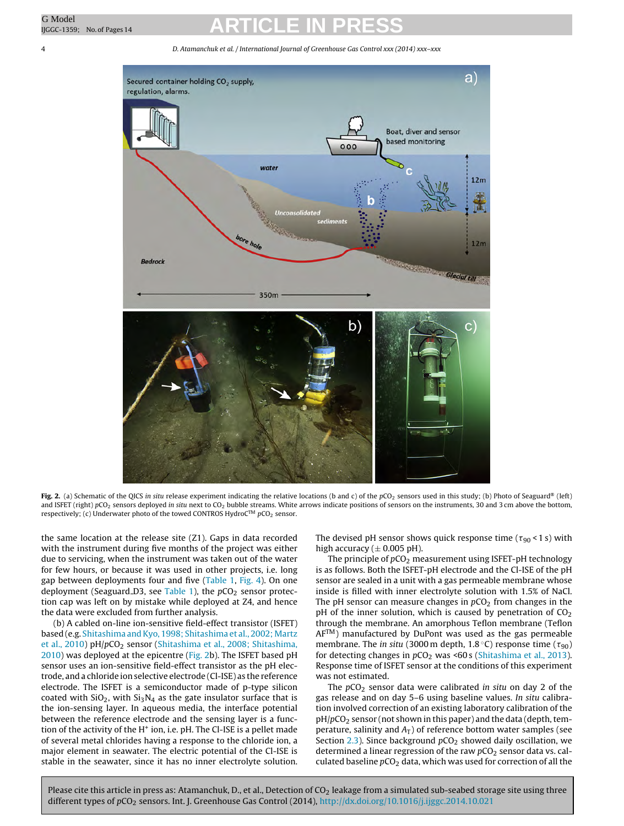4 D. Atamanchuk et al. / International Journal of Greenhouse Gas Control xxx (2014) xxx–xxx

<span id="page-3-0"></span>

Fig. 2. (a) Schematic of the QICS in situ release experiment indicating the relative locations (b and c) of the pCO<sub>2</sub> sensors used in this study; (b) Photo of Seaguard® (left) and ISFET (right)  $pCO_2$  sensors deployed in situ next to  $CO_2$  bubble streams. White arrows indicate positions of sensors on the instruments, 30 and 3 cm above the bottom, respectively; (c) Underwater photo of the towed CONTROS HydroC<sup>TM</sup>  $pCO<sub>2</sub>$  sensor.

the same location at the release site (Z1). Gaps in data recorded with the instrument during five months of the project was either due to servicing, when the instrument was taken out of the water for few hours, or because it was used in other projects, i.e. long gap between deployments four and five [\(Table](#page-2-0) 1, [Fig.](#page-7-0) 4). On one deployment (Seaguard D3, see [Table](#page-2-0) 1), the  $pCO<sub>2</sub>$  sensor protection cap was left on by mistake while deployed at Z4, and hence the data were excluded from further analysis.

(b) A cabled on-line ion-sensitive field-effect transistor (ISFET) based (e.g. [Shitashima](#page-12-0) and Kyo, [1998;](#page-12-0) Shitashima et [al.,](#page-12-0) [2002;](#page-12-0) [Martz](#page-12-0) et [al.,](#page-12-0) [2010\)](#page-12-0) pH/pCO<sub>2</sub> sensor [\(Shitashima](#page-12-0) et al., [2008;](#page-12-0) [Shitashima,](#page-12-0) [2010\)](#page-12-0) was deployed at the epicentre (Fig. 2b). The ISFET based pH sensor uses an ion-sensitive field-effect transistor as the pH electrode, and a chloride ion selective electrode (Cl-ISE) as the reference electrode. The ISFET is a semiconductor made of p-type silicon coated with  $SiO<sub>2</sub>$ , with  $Si<sub>3</sub>N<sub>4</sub>$  as the gate insulator surface that is the ion-sensing layer. In aqueous media, the interface potential between the reference electrode and the sensing layer is a function of the activity of the  $H^+$  ion, i.e. pH. The Cl-ISE is a pellet made of several metal chlorides having a response to the chloride ion, a major element in seawater. The electric potential of the Cl-ISE is stable in the seawater, since it has no inner electrolyte solution.

The devised pH sensor shows quick response time (  $\tau_{90}$  < 1 s) with high accuracy ( $\pm$  0.005 pH).

The principle of  $pCO<sub>2</sub>$  measurement using ISFET-pH technology is as follows. Both the ISFET-pH electrode and the Cl-ISE of the pH sensor are sealed in a unit with a gas permeable membrane whose inside is filled with inner electrolyte solution with 1.5% of NaCl. The pH sensor can measure changes in  $pCO<sub>2</sub>$  from changes in the pH of the inner solution, which is caused by penetration of  $CO<sub>2</sub>$ through the membrane. An amorphous Teflon membrane (Teflon  $AF^{TM}$ ) manufactured by DuPont was used as the gas permeable membrane. The in situ (3000 m depth, 1.8 °C) response time ( $\tau_{90})$ for detecting changes in  $pCO<sub>2</sub>$  was <60 s ([Shitashima](#page-12-0) et [al.,](#page-12-0) [2013\).](#page-12-0) Response time of ISFET sensor at the conditions of this experiment was not estimated.

The  $pCO<sub>2</sub>$  sensor data were calibrated in situ on day 2 of the gas release and on day 5–6 using baseline values. In situ calibration involved correction of an existing laboratory calibration of the  $pH/pCO<sub>2</sub>$  sensor (not shown in this paper) and the data (depth, temperature, salinity and  $A_T$ ) of reference bottom water samples (see Section  $2.3$ ). Since background  $pCO<sub>2</sub>$  showed daily oscillation, we determined a linear regression of the raw  $pCO<sub>2</sub>$  sensor data vs. calculated baseline  $pCO<sub>2</sub>$  data, which was used for correction of all the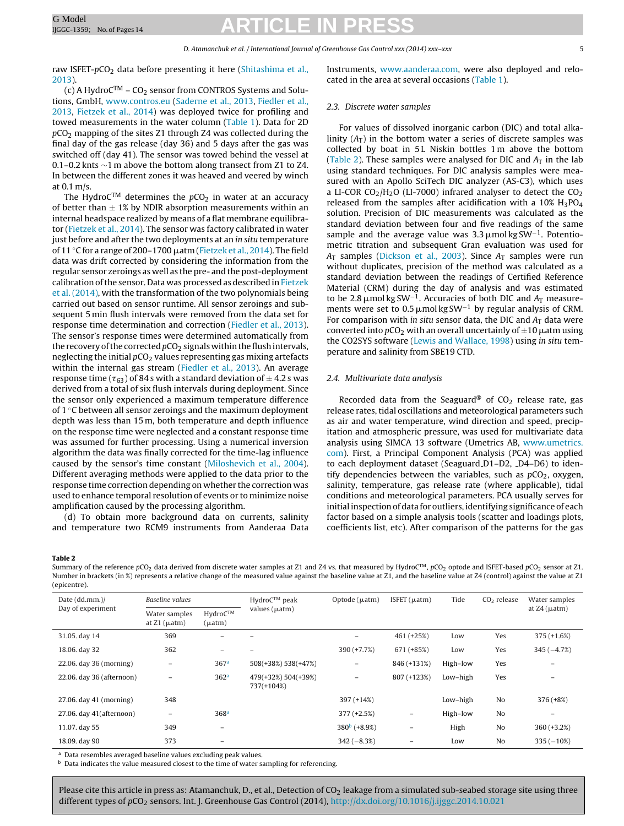<span id="page-4-0"></span>raw ISFET-pCO<sub>2</sub> data before presenting it here [\(Shitashima](#page-12-0) et [al.,](#page-12-0) [2013\).](#page-12-0)

(c) A Hydro $C^{TM}$  – CO<sub>2</sub> sensor from CONTROS Systems and Solutions, GmbH, [www.contros.eu](http://www.contros.eu/) [\(Saderne](#page-12-0) et [al.,](#page-12-0) [2013,](#page-12-0) [Fiedler](#page-12-0) et [al.,](#page-12-0) [2013,](#page-12-0) [Fietzek](#page-12-0) et [al.,](#page-12-0) [2014\)](#page-12-0) was deployed twice for profiling and towed measurements in the water column ([Table](#page-2-0) 1). Data for 2D  $pCO<sub>2</sub>$  mapping of the sites Z1 through Z4 was collected during the final day of the gas release (day 36) and 5 days after the gas was switched off (day 41). The sensor was towed behind the vessel at 0.1–0.2 knts ∼1 m above the bottom along transect from Z1 to Z4. In between the different zones it was heaved and veered by winch at 0.1 m/s.

The HydroC<sup>TM</sup> determines the  $pCO<sub>2</sub>$  in water at an accuracy of better than  $\pm$  1% by NDIR absorption measurements within an internal headspace realized by means of a flat membrane equilibrator ([Fietzek](#page-12-0) et [al.,](#page-12-0) [2014\).](#page-12-0) The sensor was factory calibrated in water just before and after the two deployments at an in situ temperature of 11 °C for a range of 200–1700  $\mu$ atm [\(Fietzek](#page-12-0) et [al.,](#page-12-0) [2014\).](#page-12-0) The field data was drift corrected by considering the information from the regular sensor zeroings as well as the pre- and the post-deployment calibration of the sensor. Data was processed as described in [Fietzek](#page-12-0) et [al.](#page-12-0) [\(2014\),](#page-12-0) with the transformation of the two polynomials being carried out based on sensor runtime. All sensor zeroings and subsequent 5 min flush intervals were removed from the data set for response time determination and correction [\(Fiedler](#page-12-0) et [al.,](#page-12-0) [2013\).](#page-12-0) The sensor's response times were determined automatically from the recovery of the corrected  $pCO<sub>2</sub>$  signals within the flush intervals, neglecting the initial  $pCO<sub>2</sub>$  values representing gas mixing artefacts within the internal gas stream [\(Fiedler](#page-12-0) et [al.,](#page-12-0) [2013\).](#page-12-0) An average response time ( $\tau_{63}$ ) of 84 s with a standard deviation of  $\pm$  4.2 s was derived from a total of six flush intervals during deployment. Since the sensor only experienced a maximum temperature difference of 1 ◦C between all sensor zeroings and the maximum deployment depth was less than 15 m, both temperature and depth influence on the response time were neglected and a constant response time was assumed for further processing. Using a numerical inversion algorithm the data was finally corrected for the time-lag influence caused by the sensor's time constant [\(Miloshevich](#page-12-0) et [al.,](#page-12-0) [2004\).](#page-12-0) Different averaging methods were applied to the data prior to the response time correction depending on whether the correction was used to enhance temporal resolution of events or to minimize noise amplification caused by the processing algorithm.

(d) To obtain more background data on currents, salinity and temperature two RCM9 instruments from Aanderaa Data Instruments, [www.aanderaa.com,](http://www.aanderaa.com/) were also deployed and relocated in the area at several occasions ([Table](#page-2-0) 1).

### 2.3. Discrete water samples

For values of dissolved inorganic carbon (DIC) and total alkalinity  $(A_T)$  in the bottom water a series of discrete samples was collected by boat in 5L Niskin bottles 1 m above the bottom (Table 2). These samples were analysed for DIC and  $A_T$  in the lab using standard techniques. For DIC analysis samples were measured with an Apollo SciTech DIC analyzer (AS-C3), which uses a LI-COR  $CO<sub>2</sub>/H<sub>2</sub>O$  (LI-7000) infrared analyser to detect the  $CO<sub>2</sub>$ released from the samples after acidification with a  $10\%$  H<sub>3</sub>PO<sub>4</sub> solution. Precision of DIC measurements was calculated as the standard deviation between four and five readings of the same sample and the average value was  $3.3 \mu$ mol kg SW<sup>-1</sup>. Potentiometric titration and subsequent Gran evaluation was used for  $A<sub>T</sub>$  samples ([Dickson](#page-12-0) et [al.,](#page-12-0) [2003\).](#page-12-0) Since  $A<sub>T</sub>$  samples were run without duplicates, precision of the method was calculated as a standard deviation between the readings of Certified Reference Material (CRM) during the day of analysis and was estimated to be 2.8  $\mu$ mol kg SW<sup>-1</sup>. Accuracies of both DIC and  $A_T$  measurements were set to 0.5  $\mu$ mol kg SW<sup>-1</sup> by regular analysis of CRM. For comparison with in situ sensor data, the DIC and  $A_T$  data were converted into  $pCO_2$  with an overall uncertainly of  $\pm 10$   $\mu$ atm using the CO2SYS software [\(Lewis](#page-12-0) [and](#page-12-0) [Wallace,](#page-12-0) [1998\)](#page-12-0) using in situ temperature and salinity from SBE19 CTD.

### 2.4. Multivariate data analysis

Recorded data from the Seaguard® of  $CO<sub>2</sub>$  release rate, gas release rates, tidal oscillations and meteorological parameters such as air and water temperature, wind direction and speed, precipitation and atmospheric pressure, was used for multivariate data analysis using SIMCA 13 software (Umetrics AB, [www.umetrics.](http://www.umetrics.com/) [com\)](http://www.umetrics.com/). First, a Principal Component Analysis (PCA) was applied to each deployment dataset (Seaguard D1-D2, D4-D6) to identify dependencies between the variables, such as  $pCO<sub>2</sub>$ , oxygen, salinity, temperature, gas release rate (where applicable), tidal conditions and meteorological parameters. PCA usually serves for initial inspection of data for outliers, identifying significance of each factor based on a simple analysis tools (scatter and loadings plots, coefficients list, etc). After comparison of the patterns for the gas

#### **Table 2**

Summary of the reference  $pCO_2$  data derived from discrete water samples at Z1 and Z4 vs. that measured by HydroC<sup>TM</sup>,  $pCO_2$  optode and ISFET-based  $pCO_2$  sensor at Z1. Number in brackets (in %) represents a relative change of the measured value against the baseline value at Z1, and the baseline value at Z4 (control) against the value at Z1 (epicentre).

| Date (dd.mm.)/<br>Day of experiment | Baseline values                       |                          | $HydroCTM$ peak                   | Optode $(\mu atm)$ | $ISFET(\mu atm)$         | Tide     | $CO2$ release | Water samples        |
|-------------------------------------|---------------------------------------|--------------------------|-----------------------------------|--------------------|--------------------------|----------|---------------|----------------------|
|                                     | Water samples<br>at $Z1$ ( $\mu$ atm) | HydroCTM<br>(µatm)       | values $(\mu atm)$                |                    |                          |          |               | at $Z4$ ( $\mu$ atm) |
| 31.05. day 14                       | 369                                   |                          |                                   |                    | 461 (+25%)               | Low      | Yes           | $375 (+1.6%)$        |
| 18.06. day 32                       | 362                                   |                          |                                   | $390 (+7.7%)$      | 671 (+85%)               | Low      | Yes           | $345 (-4.7%)$        |
| 22.06. day 36 (morning)             | $\overline{\phantom{m}}$              | 367 <sup>a</sup>         | 508(+38%) 538(+47%)               | Ξ.                 | 846 (+131%)              | High-low | Yes           |                      |
| 22.06. day 36 (afternoon)           | -                                     | 362 <sup>a</sup>         | 479(+32%) 504(+39%)<br>737(+104%) |                    | 807 (+123%)              | Low-high | Yes           |                      |
| 27.06. day 41 (morning)             | 348                                   |                          |                                   | 397 (+14%)         |                          | Low-high | No            | $376 (+8%)$          |
| 27.06. day 41(afternoon)            | $\overline{\phantom{m}}$              | 368 <sup>a</sup>         |                                   | $377 (+2.5%)$      | $\overline{\phantom{m}}$ | High-low | No            |                      |
| 11.07. day 55                       | 349                                   | $\overline{\phantom{0}}$ |                                   | $380^{b}$ (+8.9%)  | $\qquad \qquad$          | High     | No            | $360 (+3.2%)$        |
| 18.09. day 90                       | 373                                   |                          |                                   | $342 (-8.3%)$      |                          | Low      | No            | $335(-10\%)$         |

<sup>a</sup> Data resembles averaged baseline values excluding peak values.

**b** Data indicates the value measured closest to the time of water sampling for referencing.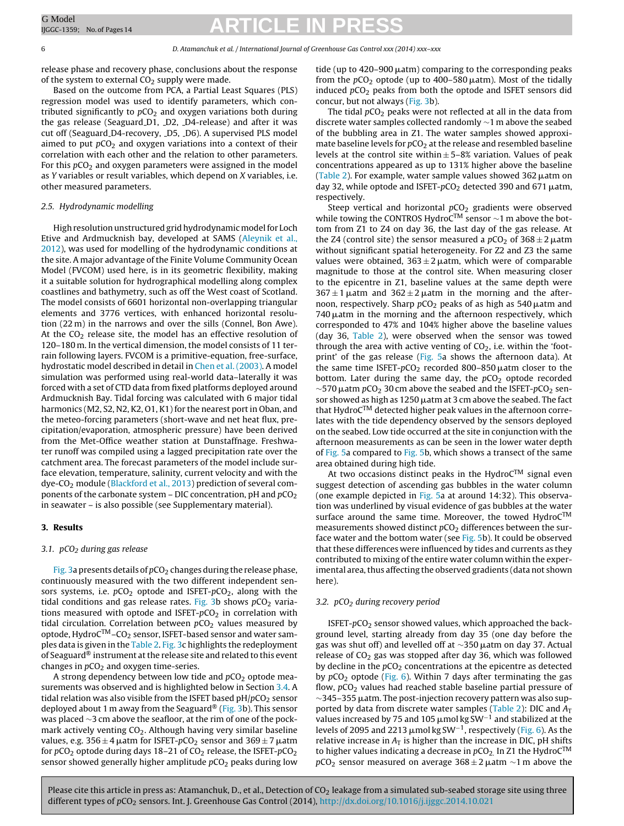6 D. Atamanchuk et al. / International Journal of Greenhouse Gas Control xxx (2014) xxx–xxx

release phase and recovery phase, conclusions about the response of the system to external  $CO<sub>2</sub>$  supply were made.

Based on the outcome from PCA, a Partial Least Squares (PLS) regression model was used to identify parameters, which contributed significantly to  $pCO<sub>2</sub>$  and oxygen variations both during the gas release (Seaguard D1, D2, D4-release) and after it was cut off (Seaguard D4-recovery, LD5, LD6). A supervised PLS model aimed to put  $pCO<sub>2</sub>$  and oxygen variations into a context of their correlation with each other and the relation to other parameters. For this  $pCO<sub>2</sub>$  and oxygen parameters were assigned in the model as Y variables or result variables, which depend on X variables, i.e. other measured parameters.

#### 2.5. Hydrodynamic modelling

High resolution unstructured grid hydrodynamic model for Loch Etive and Ardmucknish bay, developed at SAMS [\(Aleynik](#page-12-0) et [al.,](#page-12-0) [2012\),](#page-12-0) was used for modelling of the hydrodynamic conditions at the site. A major advantage of the Finite Volume Community Ocean Model (FVCOM) used here, is in its geometric flexibility, making it a suitable solution for hydrographical modelling along complex coastlines and bathymetry, such as off the West coast of Scotland. The model consists of 6601 horizontal non-overlapping triangular elements and 3776 vertices, with enhanced horizontal resolution (22 m) in the narrows and over the sills (Connel, Bon Awe). At the  $CO<sub>2</sub>$  release site, the model has an effective resolution of 120–180 m. In the vertical dimension, the model consists of 11 terrain following layers. FVCOM is a primitive-equation, free-surface, hydrostatic model described in detail in [Chen](#page-12-0) et [al.](#page-12-0) [\(2003\).](#page-12-0) A model simulation was performed using real-world data–laterally it was forced with a set of CTD data from fixed platforms deployed around Ardmucknish Bay. Tidal forcing was calculated with 6 major tidal harmonics (M2, S2, N2, K2, O1, K1) for the nearest port in Oban, and the meteo-forcing parameters (short-wave and net heat flux, precipitation/evaporation, atmospheric pressure) have been derived from the Met-Office weather station at Dunstaffnage. Freshwater runoff was compiled using a lagged precipitation rate over the catchment area. The forecast parameters of the model include surface elevation, temperature, salinity, current velocity and with the dye-CO<sub>2</sub> module [\(Blackford](#page-12-0) et [al.,](#page-12-0) [2013\)](#page-12-0) prediction of several components of the carbonate system  $-$  DIC concentration, pH and  $pCO<sub>2</sub>$ in seawater – is also possible (see Supplementary material).

### **3. Results**

### 3.1.  $pCO<sub>2</sub>$  during gas release

[Fig.](#page-6-0) 3a presents details of  $pCO<sub>2</sub>$  changes during the release phase, continuously measured with the two different independent sensors systems, i.e.  $pCO<sub>2</sub>$  optode and ISFET- $pCO<sub>2</sub>$ , along with the tidal conditions and gas release rates. [Fig.](#page-6-0) 3b shows  $pCO<sub>2</sub>$  variations measured with optode and ISFET- $pCO<sub>2</sub>$  in correlation with tidal circulation. Correlation between  $pCO<sub>2</sub>$  values measured by optode, Hydro $C^{TM}$ –CO<sub>2</sub> sensor, ISFET-based sensor and water samples data is given in the [Table](#page-4-0) 2. [Fig.](#page-6-0) 3c highlights the redeployment of Seaguard<sup>®</sup> instrument at the release site and related to this event changes in  $pCO<sub>2</sub>$  and oxygen time-series.

A strong dependency between low tide and  $pCO<sub>2</sub>$  optode measurements was observed and is highlighted below in Section [3.4.](#page-7-0) A tidal relation was also visible from the ISFET based  $pH/pCO<sub>2</sub>$  sensor deployed about 1 m away from the Seaguard® ([Fig.](#page-6-0) 3b). This sensor was placed ∼3 cm above the seafloor, at the rim of one of the pockmark actively venting  $CO<sub>2</sub>$ . Although having very similar baseline values, e.g. 356 $\pm$ 4  $\mu$ atm for ISFET- $p$ CO $_2$  sensor and 369 $\pm$ 7  $\mu$ atm for  $pCO_2$  optode during days 18–21 of  $CO_2$  release, the ISFET- $pCO_2$ sensor showed generally higher amplitude  $pCO<sub>2</sub>$  peaks during low

tide (up to 420–900  $\mu$ atm) comparing to the corresponding peaks from the  $pCO_2$  optode (up to 400–580  $\mu$ atm). Most of the tidally induced  $pCO<sub>2</sub>$  peaks from both the optode and ISFET sensors did concur, but not always ([Fig.](#page-6-0) 3b).

The tidal  $pCO<sub>2</sub>$  peaks were not reflected at all in the data from discrete water samples collected randomly ∼1 m above the seabed of the bubbling area in Z1. The water samples showed approximate baseline levels for  $pCO<sub>2</sub>$  at the release and resembled baseline levels at the control site within  $\pm$  5–8% variation. Values of peak concentrations appeared as up to 131% higher above the baseline [\(Table](#page-4-0) 2). For example, water sample values showed 362  $\mu$ atm on day 32, while optode and ISFET- $p$ CO $_2$  detected 390 and 671  $\mu$ atm, respectively.

Steep vertical and horizontal  $pCO<sub>2</sub>$  gradients were observed while towing the CONTROS HydroC<sup>™</sup> sensor  $\sim$ 1 m above the bottom from Z1 to Z4 on day 36, the last day of the gas release. At the Z4 (control site) the sensor measured a  $pCO_2$  of  $368 \pm 2$   $\mu$ atm without significant spatial heterogeneity. For Z2 and Z3 the same values were obtained, 363 $\pm$ 2  $\mu$ atm, which were of comparable magnitude to those at the control site. When measuring closer to the epicentre in Z1, baseline values at the same depth were  $367 \pm 1$   $\mu$  atm and  $362 \pm 2$   $\mu$  atm in the morning and the afternoon, respectively. Sharp  $pCO_2$  peaks of as high as 540  $\mu$ atm and 740  $\mu$ atm in the morning and the afternoon respectively, which corresponded to 47% and 104% higher above the baseline values (day 36, [Table](#page-4-0) 2), were observed when the sensor was towed through the area with active venting of  $CO<sub>2</sub>$ , i.e. within the 'footprint' of the gas release ([Fig.](#page-8-0) 5a shows the afternoon data). At the same time ISFET- $p$ CO<sub>2</sub> recorded 800–850  $\mu$ atm closer to the bottom. Later during the same day, the  $pCO<sub>2</sub>$  optode recorded  $\sim$ 570  $\mu$ atm pCO $_2$  30 cm above the seabed and the ISFET-pCO $_2$  sensor showed as high as 1250  $\mu$ atm at 3 cm above the seabed. The fact that HydroC<sup>TM</sup> detected higher peak values in the afternoon correlates with the tide dependency observed by the sensors deployed on the seabed. Low tide occurred at the site in conjunction with the afternoon measurements as can be seen in the lower water depth of [Fig.](#page-8-0) 5a compared to [Fig.](#page-8-0) 5b, which shows a transect of the same area obtained during high tide.

At two occasions distinct peaks in the Hydro $C^{TM}$  signal even suggest detection of ascending gas bubbles in the water column (one example depicted in [Fig.](#page-8-0) 5a at around 14:32). This observation was underlined by visual evidence of gas bubbles at the water surface around the same time. Moreover, the towed Hydro $C^{TM}$ measurements showed distinct  $pCO<sub>2</sub>$  differences between the sur-face water and the bottom water (see [Fig.](#page-8-0) 5b). It could be observed that these differences were influenced by tides and currents as they contributed to mixing of the entire water column within the experimental area, thus affecting the observed gradients (data not shown here).

### 3.2.  $pCO<sub>2</sub>$  during recovery period

ISFET- $pCO<sub>2</sub>$  sensor showed values, which approached the background level, starting already from day 35 (one day before the gas was shut off) and levelled off at  $\sim$ 350  $\mu$ atm on day 37. Actual release of  $CO<sub>2</sub>$  gas was stopped after day 36, which was followed by decline in the  $pCO<sub>2</sub>$  concentrations at the epicentre as detected by  $pCO<sub>2</sub>$  optode [\(Fig.](#page-9-0) 6). Within 7 days after terminating the gas flow,  $pCO<sub>2</sub>$  values had reached stable baseline partial pressure of  $\sim$ 345–355  $\mu$ atm. The post-injection recovery pattern was also sup-ported by data from discrete water samples [\(Table](#page-4-0) 2): DIC and  $A_T$ values increased by 75 and 105  $\mu$ mol kg SW<sup>-1</sup> and stabilized at the levels of 2095 and 2213  $\mu$ mol kg SW<sup>-1</sup>, respectively [\(Fig.](#page-9-0) 6). As the relative increase in  $A_T$  is higher than the increase in DIC, pH shifts to higher values indicating a decrease in  $pCO<sub>2</sub>$ . In Z1 the HydroC<sup>TM</sup>  $p$ CO $_2$  sensor measured on average 368 $\pm$ 2  $\mu$ atm  $\sim$ 1 m above the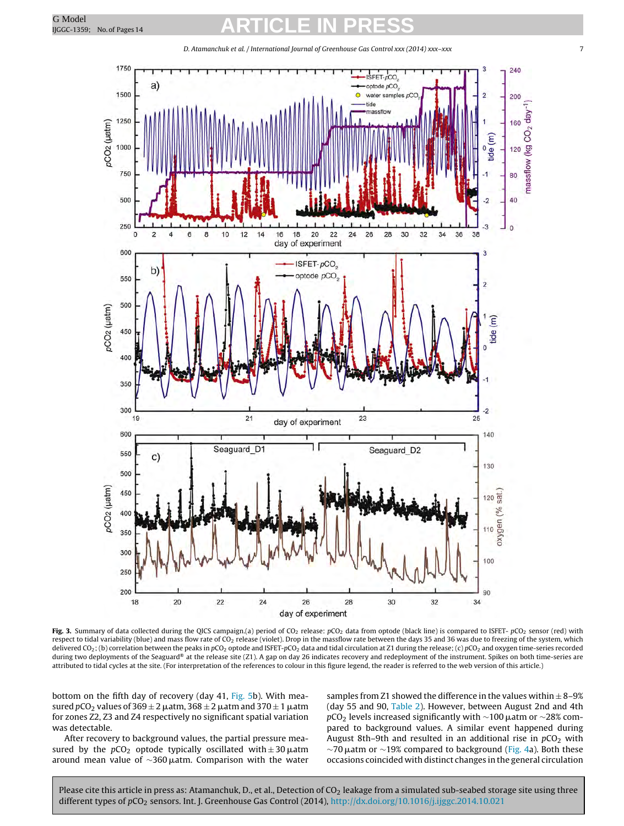<span id="page-6-0"></span>

D. Atamanchuk et al. / International Journal of Greenhouse Gas Control xxx (2014) xxx–xxx 7

Fig. 3. Summary of data collected during the QICS campaign.(a) period of CO<sub>2</sub> release:  $pCO_2$  data from optode (black line) is compared to ISFET-  $pCO_2$  sensor (red) with respect to tidal variability (blue) and mass flow rate of CO<sub>2</sub> release (violet). Drop in the massflow rate between the days 35 and 36 was due to freezing of the system, which delivered CO<sub>2</sub>; (b) correlation between the peaks in pCO<sub>2</sub> optode and ISFET-pCO<sub>2</sub> data and tidal circulation at Z1 during the release; (c) pCO<sub>2</sub> and oxygen time-series recorded during two deployments of the Seaguard® at the release site (Z1). A gap on day 26 indicates recovery and redeployment of the instrument. Spikes on both time-series are attributed to tidal cycles at the site. (For interpretation of the references to colour in this figure legend, the reader is referred to the web version of this article.)

bottom on the fifth day of recovery (day 41, [Fig.](#page-8-0) 5b). With measured  $p$ CO $_2$  values of 369  $\pm$  2  $\mu$ atm, 368  $\pm$  2  $\mu$ atm and 370  $\pm$  1  $\mu$ atm for zones Z2, Z3 and Z4 respectively no significant spatial variation was detectable.

After recovery to background values, the partial pressure measured by the  $pCO_2$  optode typically oscillated with  $\pm 30 \mu$ atm around mean value of  $\sim$ 360µatm. Comparison with the water samples from Z1 showed the difference in the values within  $\pm$  8-9% (day 55 and 90, [Table](#page-4-0) 2). However, between August 2nd and 4th  $p$ CO $_2$  levels increased significantly with  $\sim$ 100  $\mu$ atm or  $\sim$ 28% compared to background values. A similar event happened during August 8th–9th and resulted in an additional rise in  $pCO<sub>2</sub>$  with  $\sim$ 70  $\mu$ atm or  $\sim$ 19% compared to background [\(Fig.](#page-7-0) 4a). Both these occasions coincided with distinct changes in the general circulation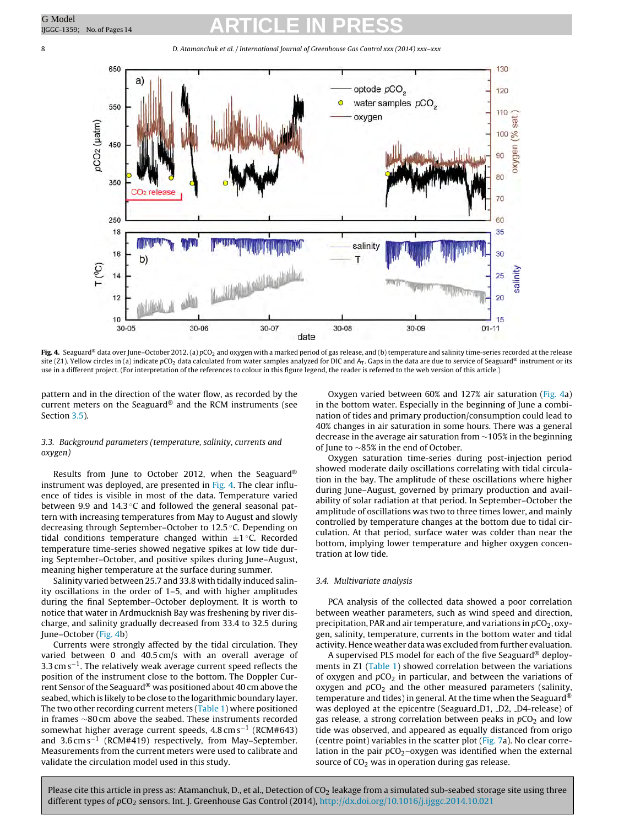<span id="page-7-0"></span>8 D. Atamanchuk et al. / International Journal of Greenhouse Gas Control xxx (2014) xxx–xxx



Fig. 4. Seaguard® data over June-October 2012. (a) pCO<sub>2</sub> and oxygen with a marked period of gas release, and (b) temperature and salinity time-series recorded at the release site (Z1). Yellow circles in (a) indicate pCO<sub>2</sub> data calculated from water samples analyzed for DIC and A<sub>T</sub>. Gaps in the data are due to service of Seaguard® instrument or its use in a different project. (For interpretation of the references to colour in this figure legend, the reader is referred to the web version of this article.)

pattern and in the direction of the water flow, as recorded by the current meters on the Seaguard® and the RCM instruments (see Section [3.5\).](#page-8-0)

### 3.3. Background parameters (temperature, salinity, currents and oxygen)

Results from June to October 2012, when the Seaguard® instrument was deployed, are presented in Fig. 4. The clear influence of tides is visible in most of the data. Temperature varied between 9.9 and 14.3 ℃ and followed the general seasonal pattern with increasing temperatures from May to August and slowly decreasing through September–October to 12.5 ◦C. Depending on tidal conditions temperature changed within  $\pm 1$  °C. Recorded temperature time-series showed negative spikes at low tide during September–October, and positive spikes during June–August, meaning higher temperature at the surface during summer.

Salinity varied between 25.7 and 33.8 with tidally induced salinity oscillations in the order of 1–5, and with higher amplitudes during the final September–October deployment. It is worth to notice that water in Ardmucknish Bay was freshening by river discharge, and salinity gradually decreased from 33.4 to 32.5 during June–October (Fig. 4b)

Currents were strongly affected by the tidal circulation. They varied between 0 and 40.5 cm/s with an overall average of  $3.3 \text{ cm s}^{-1}$ . The relatively weak average current speed reflects the position of the instrument close to the bottom. The Doppler Current Sensor of the Seaguard® was positioned about 40 cm above the seabed, which is likely to be close to the logarithmic boundary layer. The two other recording current meters ([Table](#page-2-0) 1) where positioned in frames ∼80 cm above the seabed. These instruments recorded somewhat higher average current speeds, 4.8 cm s−<sup>1</sup> (RCM#643) and 3.6 cm s−<sup>1</sup> (RCM#419) respectively, from May–September. Measurements from the current meters were used to calibrate and validate the circulation model used in this study.

Oxygen varied between 60% and 127% air saturation (Fig. 4a) in the bottom water. Especially in the beginning of June a combination of tides and primary production/consumption could lead to 40% changes in air saturation in some hours. There was a general decrease in the average air saturation from ∼105% in the beginning of June to ∼85% in the end of October.

Oxygen saturation time-series during post-injection period showed moderate daily oscillations correlating with tidal circulation in the bay. The amplitude of these oscillations where higher during June–August, governed by primary production and availability of solar radiation at that period. In September–October the amplitude of oscillations was two to three times lower, and mainly controlled by temperature changes at the bottom due to tidal circulation. At that period, surface water was colder than near the bottom, implying lower temperature and higher oxygen concentration at low tide.

### 3.4. Multivariate analysis

PCA analysis of the collected data showed a poor correlation between weather parameters, such as wind speed and direction, precipitation, PAR and air temperature, and variations in  $pCO_2$ , oxygen, salinity, temperature, currents in the bottom water and tidal activity. Hence weather data was excluded from further evaluation.

A supervised PLS model for each of the five Seaguard® deploy-ments in Z1 [\(Table](#page-2-0) 1) showed correlation between the variations of oxygen and  $pCO<sub>2</sub>$  in particular, and between the variations of oxygen and  $pCO<sub>2</sub>$  and the other measured parameters (salinity, temperature and tides) in general. At the time when the Seaguard<sup>®</sup> was deployed at the epicentre (Seaguard D1, D2, D4-release) of gas release, a strong correlation between peaks in  $pCO<sub>2</sub>$  and low tide was observed, and appeared as equally distanced from origo (centre point) variables in the scatter plot ([Fig.](#page-9-0) 7a). No clear correlation in the pair  $pCO<sub>2</sub>$ -oxygen was identified when the external source of  $CO<sub>2</sub>$  was in operation during gas release.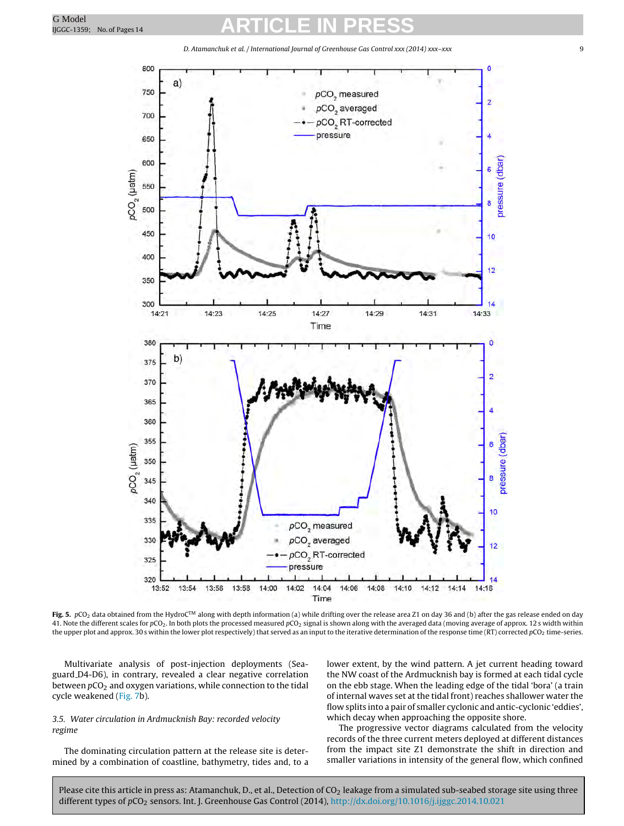<span id="page-8-0"></span>

Fig. 5. pCO<sub>2</sub> data obtained from the HydroC<sup>™</sup> along with depth information (a) while drifting over the release area Z1 on day 36 and (b) after the gas release ended on day 41. Note the different scales for pCO<sub>2</sub>. In both plots the processed measured pCO<sub>2</sub> signal is shown along with the averaged data (moving average of approx. 12 s width within the upper plot and approx. 30 s within the lower plot respectively) that served as an input to the iterative determination of the response time (RT) corrected pCO<sub>2</sub> time-series.

Multivariate analysis of post-injection deployments (Seaguard D4-D6), in contrary, revealed a clear negative correlation between  $pCO<sub>2</sub>$  and oxygen variations, while connection to the tidal cycle weakened [\(Fig.](#page-9-0) 7b).

### 3.5. Water circulation in Ardmucknish Bay: recorded velocity regime

The dominating circulation pattern at the release site is determined by a combination of coastline, bathymetry, tides and, to a lower extent, by the wind pattern. A jet current heading toward the NW coast of the Ardmucknish bay is formed at each tidal cycle on the ebb stage. When the leading edge of the tidal 'bora' (a train of internal waves set at the tidal front) reaches shallower water the flow splits into a pair of smaller cyclonic and antic-cyclonic 'eddies', which decay when approaching the opposite shore.

The progressive vector diagrams calculated from the velocity records of the three current meters deployed at different distances from the impact site Z1 demonstrate the shift in direction and smaller variations in intensity of the general flow, which confined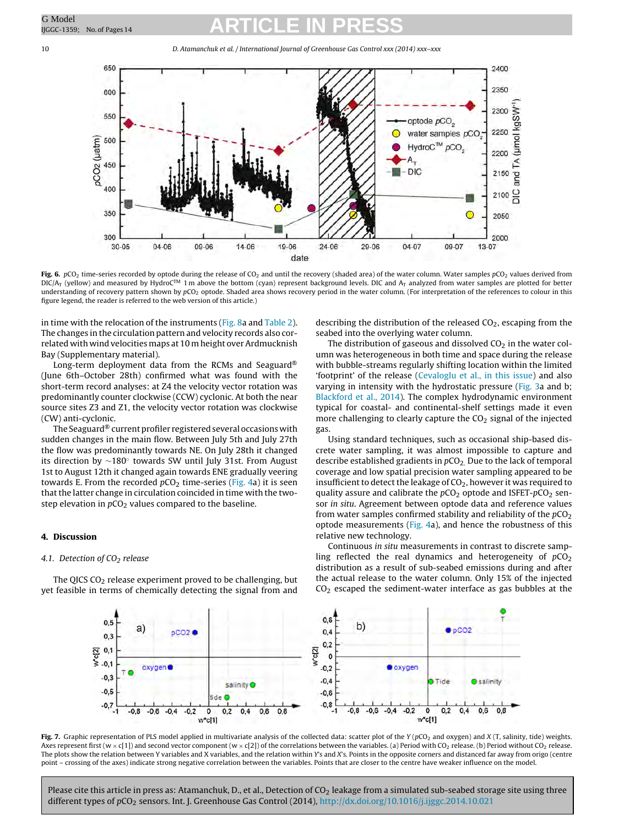10 D. Atamanchuk et al. / International Journal of Greenhouse Gas Control xxx (2014) xxx–xxx



**Fig. 6.** pCO<sub>2</sub> time-series recorded by optode during the release of CO<sub>2</sub> and until the recovery (shaded area) of the water column. Water samples pCO<sub>2</sub> values derived from<br>DIC/A<sub>T</sub> (yellow) and measured by HydroC™ 1 m understanding of recovery pattern shown by pCO<sub>2</sub> optode. Shaded area shows recovery period in the water column. (For interpretation of the references to colour in this figure legend, the reader is referred to the web version of this article.)

in time with the relocation of the instruments ([Fig.](#page-10-0) 8a and [Table](#page-4-0) 2). The changes in the circulation pattern and velocity records also correlated with wind velocities maps at 10 m height over Ardmucknish Bay (Supplementary material).

Long-term deployment data from the RCMs and Seaguard® (June 6th–October 28th) confirmed what was found with the short-term record analyses: at Z4 the velocity vector rotation was predominantly counter clockwise (CCW) cyclonic. At both the near source sites Z3 and Z1, the velocity vector rotation was clockwise (CW) anti-cyclonic.

The Seaguard® current profiler registered several occasions with sudden changes in the main flow. Between July 5th and July 27th the flow was predominantly towards NE. On July 28th it changed its direction by ∼180◦ towards SW until July 31st. From August 1st to August 12th it changed again towards ENE gradually veering towards E. From the recorded  $pCO<sub>2</sub>$  time-series [\(Fig.](#page-7-0) 4a) it is seen that the latter change in circulation coincided in time with the twostep elevation in  $pCO<sub>2</sub>$  values compared to the baseline.

### **4. Discussion**

### 4.1. Detection of  $CO<sub>2</sub>$  release

The QICS  $CO<sub>2</sub>$  release experiment proved to be challenging, but yet feasible in terms of chemically detecting the signal from and describing the distribution of the released  $CO<sub>2</sub>$ , escaping from the seabed into the overlying water column.

The distribution of gaseous and dissolved  $CO<sub>2</sub>$  in the water column was heterogeneous in both time and space during the release with bubble-streams regularly shifting location within the limited 'footprint' of the release [\(Cevaloglu](#page-12-0) et [al.,](#page-12-0) [in](#page-12-0) [this](#page-12-0) [issue\)](#page-12-0) and also varying in intensity with the hydrostatic pressure [\(Fig.](#page-6-0) 3a and b; [Blackford](#page-12-0) et [al.,](#page-12-0) [2014\).](#page-12-0) The complex hydrodynamic environment typical for coastal- and continental-shelf settings made it even more challenging to clearly capture the  $CO<sub>2</sub>$  signal of the injected gas.

Using standard techniques, such as occasional ship-based discrete water sampling, it was almost impossible to capture and describe established gradients in  $pCO<sub>2</sub>$ . Due to the lack of temporal coverage and low spatial precision water sampling appeared to be insufficient to detect the leakage of  $CO<sub>2</sub>$ , however it was required to quality assure and calibrate the  $pCO<sub>2</sub>$  optode and ISFET- $pCO<sub>2</sub>$  sensor in situ. Agreement between optode data and reference values from water samples confirmed stability and reliability of the  $pCO<sub>2</sub>$ optode measurements [\(Fig.](#page-7-0) 4a), and hence the robustness of this relative new technology.

Continuous in situ measurements in contrast to discrete sampling reflected the real dynamics and heterogeneity of  $pCO<sub>2</sub>$ distribution as a result of sub-seabed emissions during and after the actual release to the water column. Only 15% of the injected  $CO<sub>2</sub>$  escaped the sediment-water interface as gas bubbles at the



Fig. 7. Graphic representation of PLS model applied in multivariate analysis of the collected data: scatter plot of the Y (pCO<sub>2</sub> and oxygen) and X (T, salinity, tide) weights. Axes represent first (w  $\times$  c[1]) and second vector component (w  $\times$  c[2]) of the correlations between the variables. (a) Period with CO<sub>2</sub> release. (b) Period without CO<sub>2</sub> release. The plots show the relation between Y variables and X variables, and the relation within Y's and X's. Points in the opposite corners and distanced far away from origo (centre point – crossing of the axes) indicate strong negative correlation between the variables. Points that are closer to the centre have weaker influence on the model.

<span id="page-9-0"></span>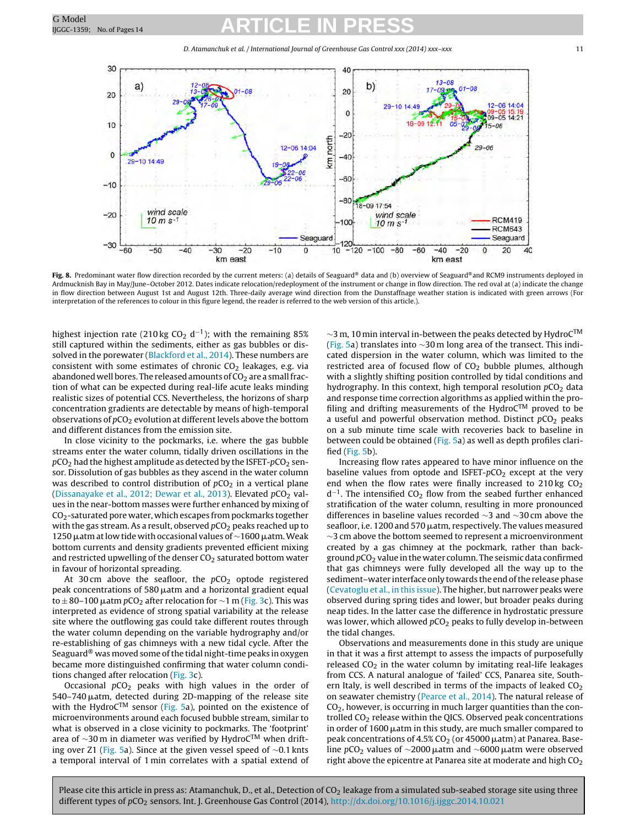D. Atamanchuk et al. / International Journal of Greenhouse Gas Control xxx (2014) xxx-xxx 11

<span id="page-10-0"></span>

Fig. 8. Predominant water flow direction recorded by the current meters: (a) details of Seaguard® data and (b) overview of Seaguard®and RCM9 instruments deployed in Ardmucknish Bay in May/June–October 2012. Dates indicate relocation/redeployment of the instrument or change in flow direction. The red oval at (a) indicate the change in flow direction between August 1st and August 12th. Three-daily average wind direction from the Dunstaffnage weather station is indicated with green arrows (For interpretation of the references to colour in this figure legend, the reader is referred to the web version of this article.).

highest injection rate (210 kg CO<sub>2</sub> d<sup>-1</sup>); with the remaining 85% still captured within the sediments, either as gas bubbles or dissolved in the porewater [\(Blackford](#page-12-0) et [al.,](#page-12-0) [2014\).](#page-12-0) These numbers are consistent with some estimates of chronic  $CO<sub>2</sub>$  leakages, e.g. via abandoned well bores. The released amounts of  $CO<sub>2</sub>$  are a small fraction of what can be expected during real-life acute leaks minding realistic sizes of potential CCS. Nevertheless, the horizons of sharp concentration gradients are detectable by means of high-temporal observations of  $pCO<sub>2</sub>$  evolution at different levels above the bottom and different distances from the emission site.

In close vicinity to the pockmarks, i.e. where the gas bubble streams enter the water column, tidally driven oscillations in the  $pCO<sub>2</sub>$  had the highest amplitude as detected by the ISFET- $pCO<sub>2</sub>$  sensor. Dissolution of gas bubbles as they ascend in the water column was described to control distribution of  $pCO<sub>2</sub>$  in a vertical plane ([Dissanayake](#page-12-0) et [al.,](#page-12-0) [2012;](#page-12-0) [Dewar](#page-12-0) et al., [2013\).](#page-12-0) Elevated  $pCO<sub>2</sub>$  values in the near-bottom masses were further enhanced by mixing of  $CO<sub>2</sub>$ -saturated pore water, which escapes from pockmarks together with the gas stream. As a result, observed  $pCO<sub>2</sub>$  peaks reached up to  $1250\,\mu$ atm at low tide with occasional values of  $\sim$ 1600  $\mu$ atm. Weak bottom currents and density gradients prevented efficient mixing and restricted upwelling of the denser  $CO<sub>2</sub>$  saturated bottom water in favour of horizontal spreading.

At 30 cm above the seafloor, the  $pCO<sub>2</sub>$  optode registered peak concentrations of 580  $\mu$ atm and a horizontal gradient equal to  $\pm$  80–100  $\mu$ atm pCO<sub>2</sub> after relocation for  $\sim$ 1 m [\(Fig.](#page-6-0) 3c). This was interpreted as evidence of strong spatial variability at the release site where the outflowing gas could take different routes through the water column depending on the variable hydrography and/or re-establishing of gas chimneys with a new tidal cycle. After the Seaguard® was moved some of the tidal night-time peaks in oxygen became more distinguished confirming that water column conditions changed after relocation ([Fig.](#page-6-0) 3c).

Occasional  $pCO<sub>2</sub>$  peaks with high values in the order of 540–740 µatm, detected during 2D-mapping of the release site with the HydroC<sup>TM</sup> sensor [\(Fig.](#page-8-0) 5a), pointed on the existence of microenvironments around each focused bubble stream, similar to what is observed in a close vicinity to pockmarks. The 'footprint' area of ∼30 m in diameter was verified by Hydro $C^{TM}$  when drifting over Z1 ([Fig.](#page-8-0) 5a). Since at the given vessel speed of ∼0.1 knts a temporal interval of 1 min correlates with a spatial extend of

<sup>∼</sup><sup>3</sup> m, <sup>10</sup> min interval in-between the peaks detected by HydroCTM [\(Fig.](#page-8-0) 5a) translates into ∼30 m long area of the transect. This indicated dispersion in the water column, which was limited to the restricted area of focused flow of  $CO<sub>2</sub>$  bubble plumes, although with a slightly shifting position controlled by tidal conditions and hydrography. In this context, high temporal resolution  $pCO<sub>2</sub>$  data and response time correction algorithms as applied within the profiling and drifting measurements of the Hydro $C^{TM}$  proved to be a useful and powerful observation method. Distinct  $pCO<sub>2</sub>$  peaks on a sub minute time scale with recoveries back to baseline in between could be obtained ([Fig.](#page-8-0) 5a) as well as depth profiles clarified ([Fig.](#page-8-0) 5b).

Increasing flow rates appeared to have minor influence on the baseline values from optode and ISFET- $pCO<sub>2</sub>$  except at the very end when the flow rates were finally increased to  $210 \text{ kg } CO<sub>2</sub>$  $d^{-1}$ . The intensified CO<sub>2</sub> flow from the seabed further enhanced stratification of the water column, resulting in more pronounced differences in baseline values recorded ∼3 and ∼30 cm above the seafloor, i.e. 1200 and 570 µatm, respectively. The values measured ∼3 cm above the bottom seemed to represent a microenvironment created by a gas chimney at the pockmark, rather than background  $pCO<sub>2</sub>$  value in the water column. The seismic data confirmed that gas chimneys were fully developed all the way up to the sediment–water interface only towards the end of the release phase [\(Cevatoglu](#page-12-0) et [al.,](#page-12-0) [in](#page-12-0) [this](#page-12-0) [issue\).](#page-12-0) The higher, but narrower peaks were observed during spring tides and lower, but broader peaks during neap tides. In the latter case the difference in hydrostatic pressure was lower, which allowed  $pCO<sub>2</sub>$  peaks to fully develop in-between the tidal changes.

Observations and measurements done in this study are unique in that it was a first attempt to assess the impacts of purposefully released  $CO<sub>2</sub>$  in the water column by imitating real-life leakages from CCS. A natural analogue of 'failed' CCS, Panarea site, Southern Italy, is well described in terms of the impacts of leaked  $CO<sub>2</sub>$ on seawater chemistry ([Pearce](#page-12-0) et [al.,](#page-12-0) [2014\).](#page-12-0) The natural release of CO2, however, is occurring in much larger quantities than the controlled  $CO<sub>2</sub>$  release within the QICS. Observed peak concentrations in order of 1600 µatm in this study, are much smaller compared to peak concentrations of 4.5%  $CO<sub>2</sub>$  (or 45000  $\mu$ atm) at Panarea. Baseline pCO<sub>2</sub> values of  $\sim$ 2000  $\mu$ atm and  $\sim$ 6000  $\mu$ atm were observed right above the epicentre at Panarea site at moderate and high  $CO<sub>2</sub>$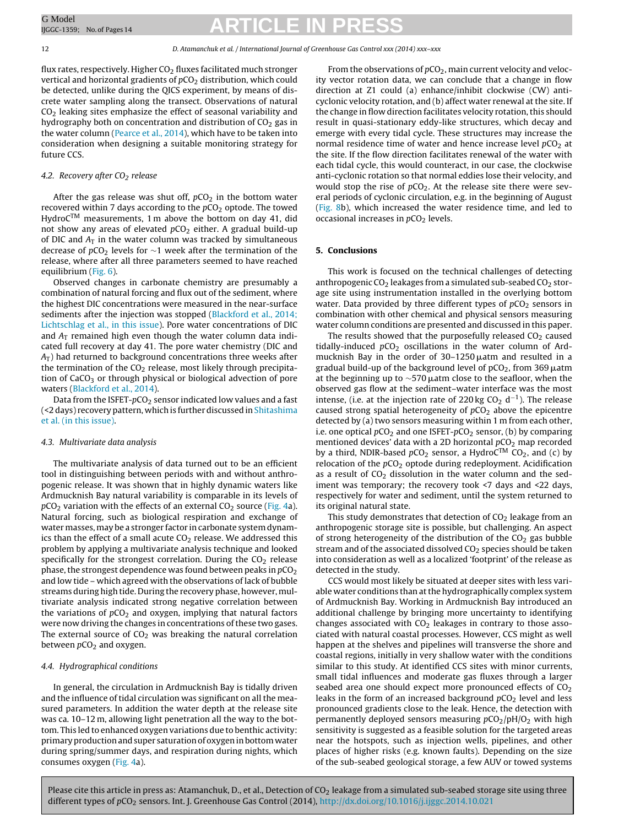12 D. Atamanchuk et al. / International Journal of Greenhouse Gas Control xxx (2014) xxx–xxx

flux rates, respectively. Higher  $CO<sub>2</sub>$  fluxes facilitated much stronger vertical and horizontal gradients of  $pCO<sub>2</sub>$  distribution, which could be detected, unlike during the QICS experiment, by means of discrete water sampling along the transect. Observations of natural CO2 leaking sites emphasize the effect of seasonal variability and hydrography both on concentration and distribution of  $CO<sub>2</sub>$  gas in the water column [\(Pearce](#page-12-0) et [al.,](#page-12-0) [2014\),](#page-12-0) which have to be taken into consideration when designing a suitable monitoring strategy for future CCS.

### 4.2. Recovery after  $CO<sub>2</sub>$  release

After the gas release was shut off,  $pCO<sub>2</sub>$  in the bottom water recovered within 7 days according to the  $pCO<sub>2</sub>$  optode. The towed  $HydroC<sup>TM</sup>$  measurements, 1 m above the bottom on day 41, did not show any areas of elevated  $pCO<sub>2</sub>$  either. A gradual build-up of DIC and  $A_T$  in the water column was tracked by simultaneous decrease of  $pCO<sub>2</sub>$  levels for ∼1 week after the termination of the release, where after all three parameters seemed to have reached equilibrium [\(Fig.](#page-9-0) 6).

Observed changes in carbonate chemistry are presumably a combination of natural forcing and flux out of the sediment, where the highest DIC concentrations were measured in the near-surface sediments after the injection was stopped [\(Blackford](#page-12-0) et [al.,](#page-12-0) [2014;](#page-12-0) [Lichtschlag](#page-12-0) et [al.,](#page-12-0) [in](#page-12-0) [this](#page-12-0) [issue\).](#page-12-0) Pore water concentrations of DIC and  $A_T$  remained high even though the water column data indicated full recovery at day 41. The pore water chemistry (DIC and  $A_T$ ) had returned to background concentrations three weeks after the termination of the  $CO<sub>2</sub>$  release, most likely through precipitation of  $CaCO<sub>3</sub>$  or through physical or biological advection of pore waters [\(Blackford](#page-12-0) et [al.,](#page-12-0) [2014\).](#page-12-0)

Data from the ISFET- $pCO_2$  sensor indicated low values and a fast (<2 days) recovery pattern, which is further discussed in [Shitashima](#page-12-0) et [al.](#page-12-0) [\(in](#page-12-0) [this](#page-12-0) [issue\).](#page-12-0)

### 4.3. Multivariate data analysis

The multivariate analysis of data turned out to be an efficient tool in distinguishing between periods with and without anthropogenic release. It was shown that in highly dynamic waters like Ardmucknish Bay natural variability is comparable in its levels of  $pCO<sub>2</sub>$  variation with the effects of an external  $CO<sub>2</sub>$  source [\(Fig.](#page-7-0) 4a). Natural forcing, such as biological respiration and exchange of water masses, may be a stronger factor in carbonate system dynamics than the effect of a small acute  $CO<sub>2</sub>$  release. We addressed this problem by applying a multivariate analysis technique and looked specifically for the strongest correlation. During the  $CO<sub>2</sub>$  release phase, the strongest dependence was found between peaks in  $pCO<sub>2</sub>$ and low tide – which agreed with the observations of lack of bubble streams during high tide. During the recovery phase, however, multivariate analysis indicated strong negative correlation between the variations of  $pCO<sub>2</sub>$  and oxygen, implying that natural factors were now driving the changes in concentrations of these two gases. The external source of  $CO<sub>2</sub>$  was breaking the natural correlation between  $pCO<sub>2</sub>$  and oxygen.

#### 4.4. Hydrographical conditions

In general, the circulation in Ardmucknish Bay is tidally driven and the influence of tidal circulation was significant on all the measured parameters. In addition the water depth at the release site was ca. 10–12 m, allowing light penetration all the way to the bottom. This led to enhanced oxygen variations due to benthic activity: primary production and super saturation of oxygen in bottom water during spring/summer days, and respiration during nights, which consumes oxygen ([Fig.](#page-7-0) 4a).

From the observations of  $pCO<sub>2</sub>$ , main current velocity and velocity vector rotation data, we can conclude that a change in flow direction at Z1 could (a) enhance/inhibit clockwise (CW) anticyclonic velocity rotation, and (b) affect water renewal at the site. If the change in flow direction facilitates velocity rotation, this should result in quasi-stationary eddy-like structures, which decay and emerge with every tidal cycle. These structures may increase the normal residence time of water and hence increase level  $pCO<sub>2</sub>$  at the site. If the flow direction facilitates renewal of the water with each tidal cycle, this would counteract, in our case, the clockwise anti-cyclonic rotation so that normal eddies lose their velocity, and would stop the rise of  $pCO<sub>2</sub>$ . At the release site there were several periods of cyclonic circulation, e.g. in the beginning of August [\(Fig.](#page-10-0) 8b), which increased the water residence time, and led to occasional increases in  $pCO<sub>2</sub>$  levels.

### **5. Conclusions**

This work is focused on the technical challenges of detecting anthropogenic  $CO<sub>2</sub>$  leakages from a simulated sub-seabed  $CO<sub>2</sub>$  storage site using instrumentation installed in the overlying bottom water. Data provided by three different types of  $pCO<sub>2</sub>$  sensors in combination with other chemical and physical sensors measuring water column conditions are presented and discussed in this paper.

The results showed that the purposefully released  $CO<sub>2</sub>$  caused tidally-induced  $pCO<sub>2</sub>$  oscillations in the water column of Ardmucknish Bay in the order of 30–1250 µatm and resulted in a gradual build-up of the background level of pCO<sub>2</sub>, from 369  $\mu$ atm at the beginning up to  $\sim$ 570  $\mu$ atm close to the seafloor, when the observed gas flow at the sediment–water interface was the most intense, (i.e. at the injection rate of 220 kg CO<sub>2</sub> d<sup>-1</sup>). The release caused strong spatial heterogeneity of  $pCO<sub>2</sub>$  above the epicentre detected by (a) two sensors measuring within 1 m from each other, i.e. one optical  $pCO<sub>2</sub>$  and one ISFET- $pCO<sub>2</sub>$  sensor, (b) by comparing mentioned devices' data with a 2D horizontal  $pCO<sub>2</sub>$  map recorded by a third, NDIR-based  $pCO_2$  sensor, a HydroC<sup>TM</sup> CO<sub>2</sub>, and (c) by relocation of the  $pCO<sub>2</sub>$  optode during redeployment. Acidification as a result of  $CO<sub>2</sub>$  dissolution in the water column and the sediment was temporary; the recovery took <7 days and <22 days, respectively for water and sediment, until the system returned to its original natural state.

This study demonstrates that detection of  $CO<sub>2</sub>$  leakage from an anthropogenic storage site is possible, but challenging. An aspect of strong heterogeneity of the distribution of the  $CO<sub>2</sub>$  gas bubble stream and of the associated dissolved  $CO<sub>2</sub>$  species should be taken into consideration as well as a localized 'footprint' of the release as detected in the study.

CCS would most likely be situated at deeper sites with less variable water conditions than at the hydrographically complex system of Ardmucknish Bay. Working in Ardmucknish Bay introduced an additional challenge by bringing more uncertainty to identifying changes associated with  $CO<sub>2</sub>$  leakages in contrary to those associated with natural coastal processes. However, CCS might as well happen at the shelves and pipelines will transverse the shore and coastal regions, initially in very shallow water with the conditions similar to this study. At identified CCS sites with minor currents, small tidal influences and moderate gas fluxes through a larger seabed area one should expect more pronounced effects of  $CO<sub>2</sub>$ leaks in the form of an increased background  $pCO<sub>2</sub>$  level and less pronounced gradients close to the leak. Hence, the detection with permanently deployed sensors measuring  $pCO<sub>2</sub>/pH/O<sub>2</sub>$  with high sensitivity is suggested as a feasible solution for the targeted areas near the hotspots, such as injection wells, pipelines, and other places of higher risks (e.g. known faults). Depending on the size of the sub-seabed geological storage, a few AUV or towed systems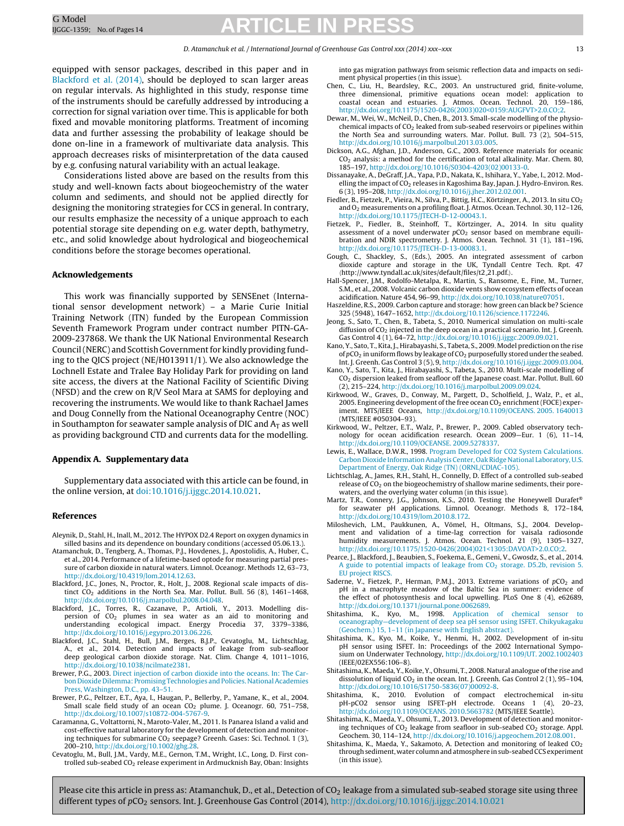#### D. Atamanchuk et al. / International Journal of Greenhouse Gas Control xxx (2014) xxx–xxx 13

<span id="page-12-0"></span>equipped with sensor packages, described in this paper and in Blackford et al. (2014), should be deployed to scan larger areas on regular intervals. As highlighted in this study, response time of the instruments should be carefully addressed by introducing a correction for signal variation over time. This is applicable for both fixed and movable monitoring platforms. Treatment of incoming data and further assessing the probability of leakage should be done on-line in a framework of multivariate data analysis. This approach decreases risks of misinterpretation of the data caused by e.g. confusing natural variability with an actual leakage.

Considerations listed above are based on the results from this study and well-known facts about biogeochemistry of the water column and sediments, and should not be applied directly for designing the monitoring strategies for CCS in general. In contrary, our results emphasize the necessity of a unique approach to each potential storage site depending on e.g. water depth, bathymetry, etc., and solid knowledge about hydrological and biogeochemical conditions before the storage becomes operational.

### **Acknowledgements**

This work was financially supported by SENSEnet (International sensor development network) – a Marie Curie Initial Training Network (ITN) funded by the European Commission Seventh Framework Program under contract number PITN-GA-2009-237868. We thank the UK National Environmental Research Council (NERC) and Scottish Government for kindly providing funding to the QICS project (NE/H013911/1). We also acknowledge the Lochnell Estate and Tralee Bay Holiday Park for providing on land site access, the divers at the National Facility of Scientific Diving (NFSD) and the crew on R/V Seol Mara at SAMS for deploying and recovering the instruments. We would like to thank Rachael James and Doug Connelly from the National Oceanography Centre (NOC) in Southampton for seawater sample analysis of DIC and  $A_T$  as well as providing background CTD and currents data for the modelling.

### **Appendix A. Supplementary data**

Supplementary data associated with this article can be found, in the online version, at [doi:10.1016/j.ijggc.2014.10.021](http://dx.doi.org/10.1016/j.ijggc.2014.10.021).

#### **References**

- Aleynik, D., Stahl, H., Inall, M., 2012. The HYPOX D2.4 Report on oxygen dynamics in silled basins and its dependence on boundary conditions (accessed 05.06.13.).
- Atamanchuk, D., Tengberg, A., Thomas, P.J., Hovdenes, J., Apostolidis, A., Huber, C., et al., 2014. Performance of a lifetime-based optode for measuring partial pressure of carbon dioxide in natural waters. Limnol. Oceanogr. Methods 12, 63–73, [http://dx.doi.org/10.4319/lom.2014.12.63.](dx.doi.org/10.4319/lom.2014.12.63)
- Blackford, J.C., Jones, N., Proctor, R., Holt, J., 2008. Regional scale impacts of distinct CO<sub>2</sub> additions in the North Sea. Mar. Pollut. Bull. 56 (8), 1461-1468, [http://dx.doi.org/10.1016/j.marpolbul.2008.04.048.](dx.doi.org/10.1016/j.marpolbul.2008.04.048)
- Blackford, J.C., Torres, R., Cazanave, P., Artioli, Y., 2013. Modelling dispersion of  $CO<sub>2</sub>$  plumes in sea water as an aid to monitoring and understanding ecological impact. Energy Procedia 37, 3379–3386, [http://dx.doi.org/10.1016/j.egypro.2013.06.226](dx.doi.org/10.1016/j.egypro.2013.06.226).
- Blackford, J.C., Stahl, H., Bull, J.M., Berges, B.J.P., Cevatoglu, M., Lichtschlag, A., et al., 2014. Detection and impacts of leakage from sub-seafloor deep geological carbon dioxide storage. Nat. Clim. Change 4, 1011–1016, [http://dx.doi.org/10.1038/ncilmate2381](dx.doi.org/10.1038/ncilmate2381).
- Brewer, P.G., 2003. [Direct](http://refhub.elsevier.com/S1750-5836(14)00352-1/sbref0030) [injection](http://refhub.elsevier.com/S1750-5836(14)00352-1/sbref0030) [of](http://refhub.elsevier.com/S1750-5836(14)00352-1/sbref0030) [carbon](http://refhub.elsevier.com/S1750-5836(14)00352-1/sbref0030) [dioxide](http://refhub.elsevier.com/S1750-5836(14)00352-1/sbref0030) [into](http://refhub.elsevier.com/S1750-5836(14)00352-1/sbref0030) [the](http://refhub.elsevier.com/S1750-5836(14)00352-1/sbref0030) [oceans.](http://refhub.elsevier.com/S1750-5836(14)00352-1/sbref0030) [In:](http://refhub.elsevier.com/S1750-5836(14)00352-1/sbref0030) [The](http://refhub.elsevier.com/S1750-5836(14)00352-1/sbref0030) [Car](http://refhub.elsevier.com/S1750-5836(14)00352-1/sbref0030)[bon](http://refhub.elsevier.com/S1750-5836(14)00352-1/sbref0030) [Dioxide](http://refhub.elsevier.com/S1750-5836(14)00352-1/sbref0030) [Dilemma:](http://refhub.elsevier.com/S1750-5836(14)00352-1/sbref0030) [Promising](http://refhub.elsevier.com/S1750-5836(14)00352-1/sbref0030) [Technologies](http://refhub.elsevier.com/S1750-5836(14)00352-1/sbref0030) [and](http://refhub.elsevier.com/S1750-5836(14)00352-1/sbref0030) [Policies.](http://refhub.elsevier.com/S1750-5836(14)00352-1/sbref0030) National Academies [Press,](http://refhub.elsevier.com/S1750-5836(14)00352-1/sbref0030) [Washington,](http://refhub.elsevier.com/S1750-5836(14)00352-1/sbref0030) [D.C.,](http://refhub.elsevier.com/S1750-5836(14)00352-1/sbref0030) [pp.](http://refhub.elsevier.com/S1750-5836(14)00352-1/sbref0030) [43](http://refhub.elsevier.com/S1750-5836(14)00352-1/sbref0030)–[51.](http://refhub.elsevier.com/S1750-5836(14)00352-1/sbref0030)
- Brewer, P.G., Peltzer, E.T., Aya, I., Haugan, P., Bellerby, P., Yamane, K., et al., 2004. Small scale field study of an ocean  $CO<sub>2</sub>$  plume. J. Oceanogr. 60, 751-758, [http://dx.doi.org/10.1007/s10872-004-5767-9](dx.doi.org/10.1007/s10872-004-5767-9).
- Caramanna, G., Voltattorni, N., Maroto-Valer, M., 2011. Is Panarea Island a valid and cost-effective natural laboratory for the development of detection and monitoring techniques for submarine  $CO<sub>2</sub>$  seepage? Greenh. Gases: Sci. Technol. 1 (3), 200–210, [http://dx.doi.org/10.1002/ghg.28.](dx.doi.org/10.1002/ghg.28)
- Cevatoglu, M., Bull, J.M., Vardy, M.E., Gernon, T.M., Wright, I.C., Long, D. First controlled sub-seabed CO<sub>2</sub> release experiment in Ardmucknish Bay, Oban: Insights

into gas migration pathways from seismic reflection data and impacts on sediment physical properties (in this issue).

- Chen, C., Liu, H., Beardsley, R.C., 2003. An unstructured grid, finite-volume, three dimensional, primitive equations ocean model: application to coastal ocean and estuaries. J. Atmos. Ocean. Technol. 20, 159–186, [http://dx.doi.org/10.1175/1520-0426\(2003\)020<0159:AUGFVT>2.0.CO;2.](dx.doi.org/10.1175/1520-0426(2003)020<0159:AUGFVT>2.0.CO;2)
- Dewar, M., Wei, W., McNeil, D., Chen, B., 2013. Small-scale modelling of the physiochemical impacts of  $CO<sub>2</sub>$  leaked from sub-seabed reservoirs or pipelines within the North Sea and surrounding waters. Mar. Pollut. Bull.  $73(2)$ , 504-515, [http://dx.doi.org/10.1016/j.marpolbul.2013.03.005](dx.doi.org/10.1016/j.marpolbul.2013.03.005).
- Dickson, A.G., Afghan, J.D., Anderson, G.C., 2003. Reference materials for oceanic  $CO<sub>2</sub>$  analysis: a method for the certification of total alkalinity. Mar. Chem. 80, 185–197, [http://dx.doi.org/10.1016/S0304-4203\(02\)00133-0](dx.doi.org/10.1016/S0304-4203(02)00133-0).
- Dissanayake, A., DeGraff, J.A., Yapa, P.D., Nakata, K., Ishihara, Y., Yabe, I., 2012. Modelling the impact of  $CO<sub>2</sub>$  releases in Kagoshima Bay, Japan. J. Hydro-Environ. Res. 6 (3), 195–208, [http://dx.doi.org/10.1016/j.jher.2012.02.001](dx.doi.org/10.1016/j.jher.2012.02.001).
- Fiedler, B., Fietzek, P., Vieira, N., Silva, P., Bittig, H.C., Körtzinger, A., 2013. In situ CO<sub>2</sub> and O2 measurements on a profiling float. J. Atmos. Ocean. Technol. 30, 112–126, [http://dx.doi.org/10.1175/JTECH-D-12-00043.1](dx.doi.org/10.1175/JTECH-D-12-00043.1).
- Fietzek, P., Fiedler, B., Steinhoff, T., Körtzinger, A., 2014. In situ quality assessment of a novel underwater  $pCO<sub>2</sub>$  sensor based on membrane equilibration and NDIR spectrometry. J. Atmos. Ocean. Technol. 31 (1), 181–196, [http://dx.doi.org/10.1175/JTECH-D-13-00083.1](dx.doi.org/10.1175/JTECH-D-13-00083.1).
- Gough, C., Shackley, S., (Eds.), 2005. An integrated assessment of carbon dioxide capture and storage in the UK, Tyndall Centre Tech. Rpt. 47 http://www.tyndall.ac.uk/sites/default/files/t2 21.pdf..
- Hall-Spencer, J.M., Rodolfo-Metalpa, R., Martin, S., Ransome, E., Fine, M., Turner, S.M., et al., 2008. Volcanic carbon dioxide vents show ecosystem effects of ocean acidification. Nature 454, 96–99, [http://dx.doi.org/10.1038/nature07051.](dx.doi.org/10.1038/nature07051)
- Haszeldine, R.S., 2009. Carbon capture and storage: how green can black be? Science 325 (5948), 1647–1652, [http://dx.doi.org/10.1126/science.1172246.](dx.doi.org/10.1126/science.1172246)
- Jeong, S., Sato, T., Chen, B., Tabeta, S., 2010. Numerical simulation on multi-scale diffusion of CO<sub>2</sub> injected in the deep ocean in a practical scenario. Int. J. Greenh. Gas Control 4 (1), 64–72, [http://dx.doi.org/10.1016/j.ijggc.2009.09.021.](dx.doi.org/10.1016/j.ijggc.2009.09.021)
- Kano, Y., Sato, T., Kita, J., Hirabayashi, S., Tabeta, S., 2009. Model prediction on the rise of  $pCO<sub>2</sub>$  in uniform flows by leakage of  $CO<sub>2</sub>$  purposefully stored under the seabed. Int. J. Greenh. Gas Control 3 (5), 9, [http://dx.doi.org/10.1016/j.ijggc.2009.03.004](dx.doi.org/10.1016/j.ijggc.2009.03.004).
- Kano, Y., Sato, T., Kita, J., Hirabayashi, S., Tabeta, S., 2010. Multi-scale modelling of CO2 dispersion leaked from seafloor off the Japanese coast. Mar. Pollut. Bull. 60 (2), 215–224, [http://dx.doi.org/10.1016/j.marpolbul.2009.09.024](dx.doi.org/10.1016/j.marpolbul.2009.09.024).
- Kirkwood, W., Graves, D., Conway, M., Pargett, D., Scholfield, J., Walz, P., et al., 2005. Engineering development of the free ocean  $CO<sub>2</sub>$  enrichment (FOCE) experiment. MTS/IEEE Oceans, [http://dx.doi.org/10.1109/OCEANS.](dx.doi.org/10.1109/OCEANS. 2005. 1640013) 2005. 1640013 (MTS/IEEE #050304–93).
- Kirkwood, W., Peltzer, E.T., Walz, P., Brewer, P., 2009. Cabled observatory technology for ocean acidification research. Ocean 2009—Eur. 1 (6), 11–14, [http://dx.doi.org/10.1109/OCEANSE.](dx.doi.org/10.1109/OCEANSE. 2009.5278337) 2009.5278337.
- Lewis, E., Wallace, D.W.R., 1998. [Program](http://refhub.elsevier.com/S1750-5836(14)00352-1/sbref0120) [Developed](http://refhub.elsevier.com/S1750-5836(14)00352-1/sbref0120) [for](http://refhub.elsevier.com/S1750-5836(14)00352-1/sbref0120) [CO2](http://refhub.elsevier.com/S1750-5836(14)00352-1/sbref0120) [System](http://refhub.elsevier.com/S1750-5836(14)00352-1/sbref0120) [Calculations.](http://refhub.elsevier.com/S1750-5836(14)00352-1/sbref0120) [Carbon](http://refhub.elsevier.com/S1750-5836(14)00352-1/sbref0120) [Dioxide](http://refhub.elsevier.com/S1750-5836(14)00352-1/sbref0120) [InformationAnalysis](http://refhub.elsevier.com/S1750-5836(14)00352-1/sbref0120) [Center,](http://refhub.elsevier.com/S1750-5836(14)00352-1/sbref0120) [Oak](http://refhub.elsevier.com/S1750-5836(14)00352-1/sbref0120) [Ridge](http://refhub.elsevier.com/S1750-5836(14)00352-1/sbref0120) [National](http://refhub.elsevier.com/S1750-5836(14)00352-1/sbref0120) [Laboratory,](http://refhub.elsevier.com/S1750-5836(14)00352-1/sbref0120) [U.S.](http://refhub.elsevier.com/S1750-5836(14)00352-1/sbref0120) [Department](http://refhub.elsevier.com/S1750-5836(14)00352-1/sbref0120) [of](http://refhub.elsevier.com/S1750-5836(14)00352-1/sbref0120) [Energy,](http://refhub.elsevier.com/S1750-5836(14)00352-1/sbref0120) [Oak](http://refhub.elsevier.com/S1750-5836(14)00352-1/sbref0120) [Ridge](http://refhub.elsevier.com/S1750-5836(14)00352-1/sbref0120) [\(TN\)](http://refhub.elsevier.com/S1750-5836(14)00352-1/sbref0120) [\(ORNL/CDIAC-105\).](http://refhub.elsevier.com/S1750-5836(14)00352-1/sbref0120)
- Lichtschlag, A., James, R.H., Stahl, H., Connelly, D. Effect of a controlled sub-seabed release of CO<sub>2</sub> on the biogeochemistry of shallow marine sediments, their porewaters, and the overlying water column (in this issue).
- Martz, T.R., Connery, J.G., Johnson, K.S., 2010. Testing the Honeywell Durafet® for seawater pH applications. Limnol. Oceanogr. Methods 8, 172–184, [http://dx.doi.org/10.4319/lom.2010.8.172](dx.doi.org/10.4319/lom.2010.8.172).
- Miloshevich, L.M., Paukkunen, A., Vömel, H., Oltmans, S.J., 2004. Development and validation of a time-lag correction for vaisala radiosonde humidity measurements. J. Atmos. Ocean. Technol. 21 (9), 1305–1327, [http://dx.doi.org/10.1175/1520-0426\(2004\)021<1305:DAVOAT>2.0.CO;2.](dx.doi.org/10.1175/1520-0426(2004)021<1305:DAVOAT>2.0.CO;2)
- Pearce, J., Blackford, J., Beaubien, S., Foekema, E., Gemeni, V., Gwosdz, S., et al., 2014. [A](http://refhub.elsevier.com/S1750-5836(14)00352-1/sbref0140) [guide](http://refhub.elsevier.com/S1750-5836(14)00352-1/sbref0140) [to](http://refhub.elsevier.com/S1750-5836(14)00352-1/sbref0140) [potential](http://refhub.elsevier.com/S1750-5836(14)00352-1/sbref0140) [impacts](http://refhub.elsevier.com/S1750-5836(14)00352-1/sbref0140) [of](http://refhub.elsevier.com/S1750-5836(14)00352-1/sbref0140) [leakage](http://refhub.elsevier.com/S1750-5836(14)00352-1/sbref0140) [from](http://refhub.elsevier.com/S1750-5836(14)00352-1/sbref0140)  $CO<sub>2</sub>$  [storage.](http://refhub.elsevier.com/S1750-5836(14)00352-1/sbref0140) [D5.2b,](http://refhub.elsevier.com/S1750-5836(14)00352-1/sbref0140) [revision](http://refhub.elsevier.com/S1750-5836(14)00352-1/sbref0140) [5.](http://refhub.elsevier.com/S1750-5836(14)00352-1/sbref0140) **[EU](http://refhub.elsevier.com/S1750-5836(14)00352-1/sbref0140)** [project](http://refhub.elsevier.com/S1750-5836(14)00352-1/sbref0140) RISCS
- Saderne, V., Fietzek, P., Herman, P.M.J., 2013. Extreme variations of  $pCO<sub>2</sub>$  and pH in a macrophyte meadow of the Baltic Sea in summer: evidence of the effect of photosynthesis and local upwelling. PLoS One 8 (4), e62689, [http://dx.doi.org/10.1371/journal.pone.0062689.](dx.doi.org/10.1371/journal.pone.0062689)
- Shitashima, K., Kyo, M., 1998. [Application](http://refhub.elsevier.com/S1750-5836(14)00352-1/sbref0150) [of](http://refhub.elsevier.com/S1750-5836(14)00352-1/sbref0150) [chemical](http://refhub.elsevier.com/S1750-5836(14)00352-1/sbref0150) [sensor](http://refhub.elsevier.com/S1750-5836(14)00352-1/sbref0150) [to](http://refhub.elsevier.com/S1750-5836(14)00352-1/sbref0150) [oceanography](http://refhub.elsevier.com/S1750-5836(14)00352-1/sbref0150)—[development](http://refhub.elsevier.com/S1750-5836(14)00352-1/sbref0150) [of](http://refhub.elsevier.com/S1750-5836(14)00352-1/sbref0150) [deep](http://refhub.elsevier.com/S1750-5836(14)00352-1/sbref0150) [sea](http://refhub.elsevier.com/S1750-5836(14)00352-1/sbref0150) [pH](http://refhub.elsevier.com/S1750-5836(14)00352-1/sbref0150) [sensor](http://refhub.elsevier.com/S1750-5836(14)00352-1/sbref0150) [using](http://refhub.elsevier.com/S1750-5836(14)00352-1/sbref0150) [ISFET.](http://refhub.elsevier.com/S1750-5836(14)00352-1/sbref0150) [Chikyukagaku](http://refhub.elsevier.com/S1750-5836(14)00352-1/sbref0150) [\(Geochem.\)](http://refhub.elsevier.com/S1750-5836(14)00352-1/sbref0150) [15,](http://refhub.elsevier.com/S1750-5836(14)00352-1/sbref0150) [1](http://refhub.elsevier.com/S1750-5836(14)00352-1/sbref0150)–[11](http://refhub.elsevier.com/S1750-5836(14)00352-1/sbref0150) [\(in](http://refhub.elsevier.com/S1750-5836(14)00352-1/sbref0150) [Japanese](http://refhub.elsevier.com/S1750-5836(14)00352-1/sbref0150) [with](http://refhub.elsevier.com/S1750-5836(14)00352-1/sbref0150) [English](http://refhub.elsevier.com/S1750-5836(14)00352-1/sbref0150) [abstract\).](http://refhub.elsevier.com/S1750-5836(14)00352-1/sbref0150)
- Shitashima, K., Kyo, M., Koike, Y., Henmi, H., 2002. Development of in-situ pH sensor using ISFET. In: Proceedings of the 2002 International Symposium on Underwater Technology, [http://dx.doi.org/10.1109/UT.](dx.doi.org/10.1109/UT. 2002.1002403) 2002.1002403 (IEEE/02EX556:106–8).
- Shitashima, K., Maeda, Y., Koike, Y., Ohsumi, T., 2008. Natural analogue ofthe rise and dissolution of liquid  $CO<sub>2</sub>$  in the ocean. Int. J. Greenh. Gas Control 2 (1), 95-104, [http://dx.doi.org/10.1016/S1750-5836\(07\)00092-8](dx.doi.org/10.1016/S1750-5836(07)00092-8).
- Shitashima, K., 2010. Evolution of compact electrochemical in-situ pH-pCO2 sensor using ISFET-pH electrode. Oceans 1 (4), 20–23, [http://dx.doi.org/10.1109/OCEANS.](dx.doi.org/10.1109/OCEANS. 2010.5663782) 2010.5663782 (MTS/IEEE Seattle).
- Shitashima, K., Maeda, Y., Ohsumi, T., 2013. Development of detection and monitoring techniques of  $CO<sub>2</sub>$  leakage from seafloor in sub-seabed  $CO<sub>2</sub>$  storage. Appl. Geochem. 30, 114–124, [http://dx.doi.org/10.1016/j.apgeochem.2012.08.001.](dx.doi.org/10.1016/j.apgeochem.2012.08.001)
- Shitashima, K., Maeda, Y., Sakamoto, A. Detection and monitoring of leaked  $CO<sub>2</sub>$ through sediment, water column and atmosphere in sub-seabed CCS experiment (in this issue).